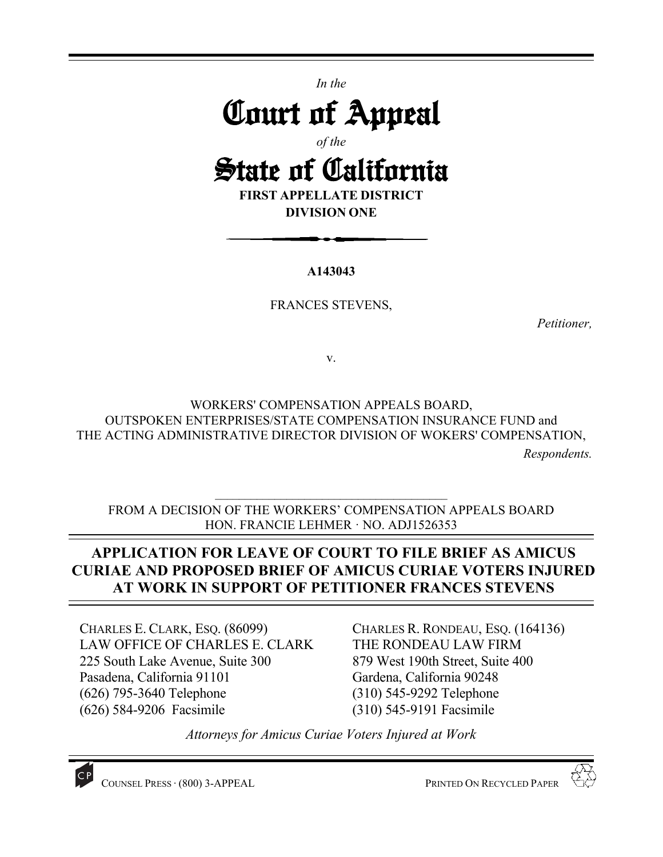*In the* 

# Court of Appeal

*of the*

# State of California

**FIRST APPELLATE DISTRICT DIVISION ONE** 

**A143043** 

FRANCES STEVENS,

*Petitioner,* 

v.

WORKERS' COMPENSATION APPEALS BOARD, OUTSPOKEN ENTERPRISES/STATE COMPENSATION INSURANCE FUND and THE ACTING ADMINISTRATIVE DIRECTOR DIVISION OF WOKERS' COMPENSATION,

*Respondents.* 

FROM A DECISION OF THE WORKERS' COMPENSATION APPEALS BOARD HON. FRANCIE LEHMER · NO. ADJ1526353

 $\mathcal{L}_\text{max}$ 

# **APPLICATION FOR LEAVE OF COURT TO FILE BRIEF AS AMICUS CURIAE AND PROPOSED BRIEF OF AMICUS CURIAE VOTERS INJURED AT WORK IN SUPPORT OF PETITIONER FRANCES STEVENS**

CHARLES E. CLARK, ESQ. (86099) LAW OFFICE OF CHARLES E. CLARK 225 South Lake Avenue, Suite 300 Pasadena, California 91101 (626) 795-3640 Telephone (626) 584-9206 Facsimile

CHARLES R. RONDEAU, ESQ. (164136) THE RONDEAU LAW FIRM 879 West 190th Street, Suite 400 Gardena, California 90248 (310) 545-9292 Telephone (310) 545-9191 Facsimile

*Attorneys for Amicus Curiae Voters Injured at Work*

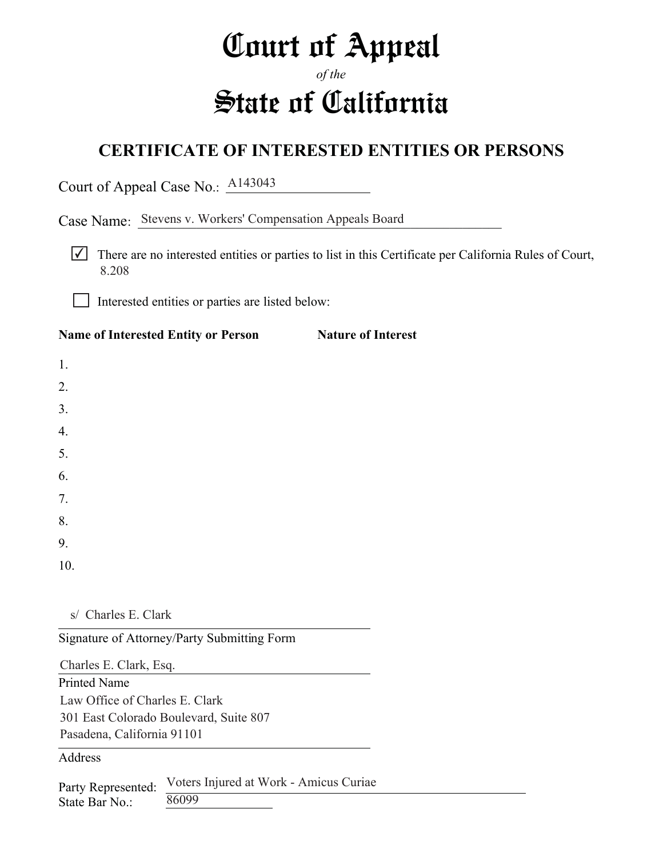# Court of Appeal

# *of the* State of California

# **CERTIFICATE OF INTERESTED ENTITIES OR PERSONS**

Court of Appeal Case No.: **A143043** 

Case Name: Stevens v. Workers' Compensation Appeals Board

 $\triangledown$  There are no interested entities or parties to list in this Certificate per California Rules of Court, 8.208

Interested entities or parties are listed below:

### Name of Interested Entity or Person Nature of Interest

1. 2. 3. 4. 5. 6. 7. 8. 9. 10.

s/ Charles E. Clark

Signature of Attorney/Party Submitting Form

Printed Name Charles E. Clark, Esq. Law Office of Charles E. Clark 301 East Colorado Boulevard, Suite 807 Pasadena, California 91101

Address

Party Represented: State Bar No.: Voters Injured at Work - Amicus Curiae 86099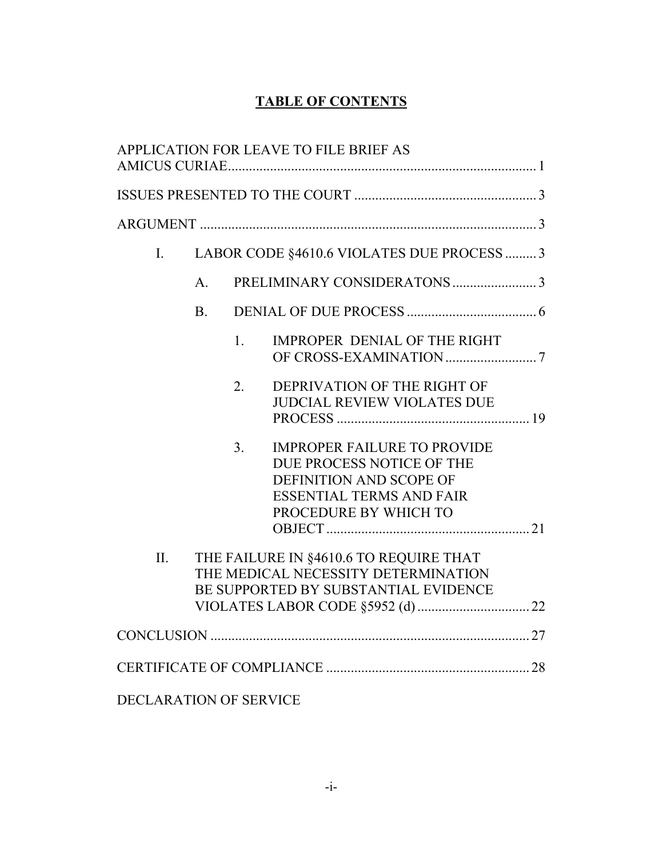## **TABLE OF CONTENTS**

| APPLICATION FOR LEAVE TO FILE BRIEF AS                                                                                                                                   |  |  |
|--------------------------------------------------------------------------------------------------------------------------------------------------------------------------|--|--|
|                                                                                                                                                                          |  |  |
|                                                                                                                                                                          |  |  |
| LABOR CODE §4610.6 VIOLATES DUE PROCESS  3<br>$I_{\cdot}$                                                                                                                |  |  |
| $A_{\cdot}$                                                                                                                                                              |  |  |
| B <sub>1</sub>                                                                                                                                                           |  |  |
| <b>IMPROPER DENIAL OF THE RIGHT</b><br>1.                                                                                                                                |  |  |
| DEPRIVATION OF THE RIGHT OF<br>2.<br>JUDCIAL REVIEW VIOLATES DUE                                                                                                         |  |  |
| 3 <sub>1</sub><br><b>IMPROPER FAILURE TO PROVIDE</b><br>DUE PROCESS NOTICE OF THE<br>DEFINITION AND SCOPE OF<br><b>ESSENTIAL TERMS AND FAIR</b><br>PROCEDURE BY WHICH TO |  |  |
|                                                                                                                                                                          |  |  |
| II.<br>THE FAILURE IN §4610.6 TO REQUIRE THAT<br>THE MEDICAL NECESSITY DETERMINATION<br>BE SUPPORTED BY SUBSTANTIAL EVIDENCE                                             |  |  |
|                                                                                                                                                                          |  |  |
|                                                                                                                                                                          |  |  |
|                                                                                                                                                                          |  |  |
| DECLARATION OF SERVICE                                                                                                                                                   |  |  |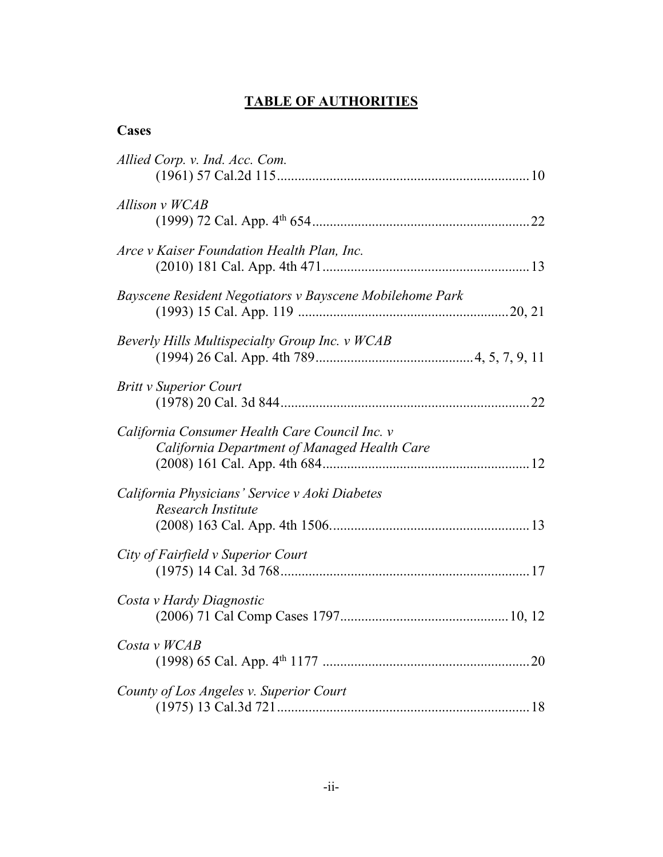# **TABLE OF AUTHORITIES**

### **Cases**

| Allied Corp. v. Ind. Acc. Com.                                                                 |  |
|------------------------------------------------------------------------------------------------|--|
| Allison v WCAB                                                                                 |  |
| Arce v Kaiser Foundation Health Plan, Inc.                                                     |  |
| Bayscene Resident Negotiators v Bayscene Mobilehome Park                                       |  |
| Beverly Hills Multispecialty Group Inc. v WCAB                                                 |  |
| <b>Britt v Superior Court</b>                                                                  |  |
| California Consumer Health Care Council Inc. v<br>California Department of Managed Health Care |  |
| California Physicians' Service v Aoki Diabetes<br>Research Institute                           |  |
| City of Fairfield v Superior Court                                                             |  |
| Costa v Hardy Diagnostic                                                                       |  |
| Costa v WCAB                                                                                   |  |
| County of Los Angeles v. Superior Court                                                        |  |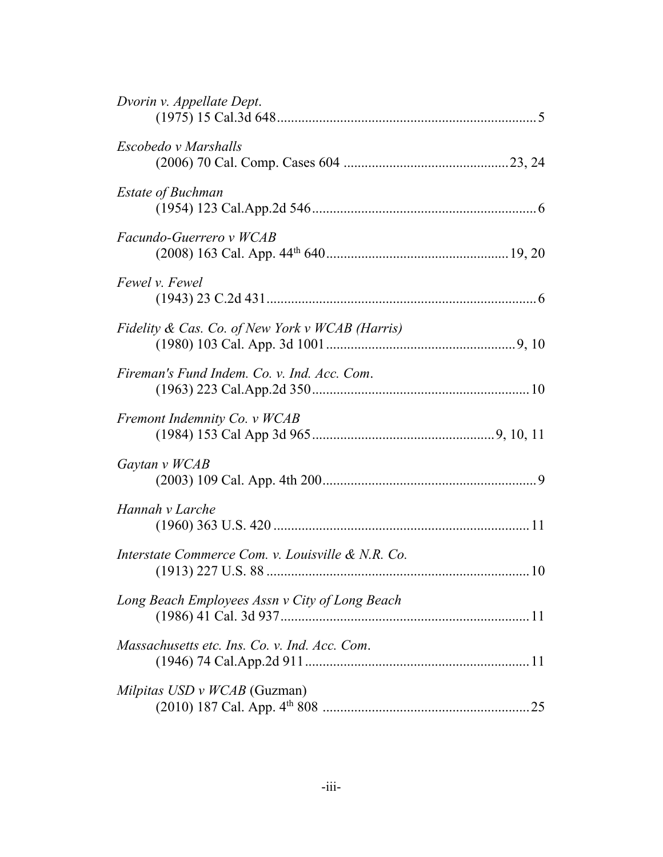| Dvorin v. Appellate Dept.                         |  |
|---------------------------------------------------|--|
| Escobedo v Marshalls                              |  |
| <b>Estate of Buchman</b>                          |  |
| Facundo-Guerrero v WCAB                           |  |
| Fewel v. Fewel                                    |  |
| Fidelity & Cas. Co. of New York v WCAB (Harris)   |  |
| Fireman's Fund Indem. Co. v. Ind. Acc. Com.       |  |
| Fremont Indemnity Co. v WCAB                      |  |
| Gaytan v WCAB                                     |  |
| Hannah v Larche                                   |  |
| Interstate Commerce Com. v. Louisville & N.R. Co. |  |
| Long Beach Employees Assn v City of Long Beach    |  |
| Massachusetts etc. Ins. Co. v. Ind. Acc. Com.     |  |
| Milpitas USD v WCAB (Guzman)                      |  |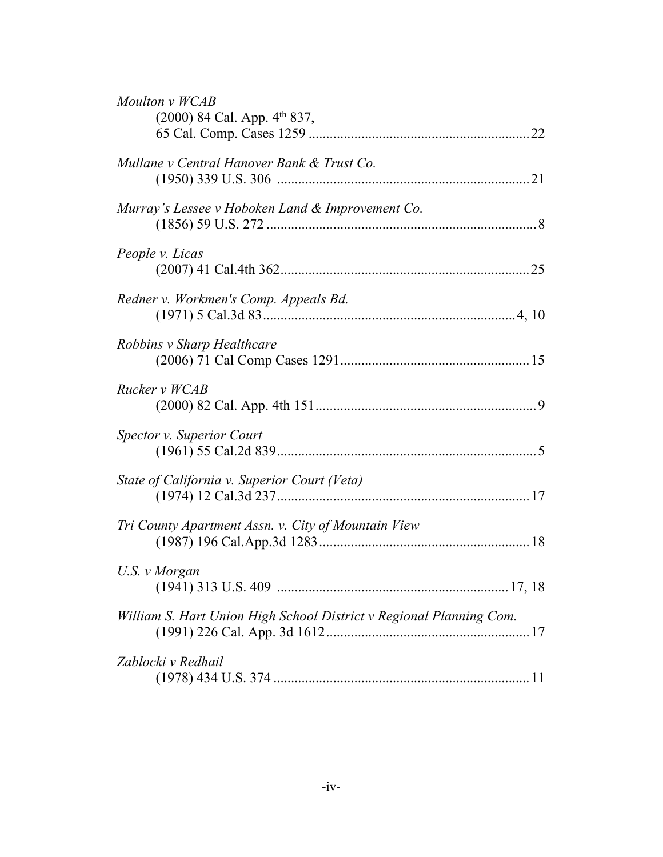| Moulton v WCAB<br>(2000) 84 Cal. App. 4th 837,                      |  |
|---------------------------------------------------------------------|--|
| Mullane v Central Hanover Bank & Trust Co.                          |  |
| Murray's Lessee v Hoboken Land & Improvement Co.                    |  |
| People v. Licas                                                     |  |
| Redner v. Workmen's Comp. Appeals Bd.                               |  |
| Robbins v Sharp Healthcare                                          |  |
| Rucker v WCAB                                                       |  |
| <b>Spector v. Superior Court</b>                                    |  |
| State of California v. Superior Court (Veta)                        |  |
| Tri County Apartment Assn. v. City of Mountain View                 |  |
| U.S. v Morgan                                                       |  |
| William S. Hart Union High School District v Regional Planning Com. |  |
| Zablocki v Redhail                                                  |  |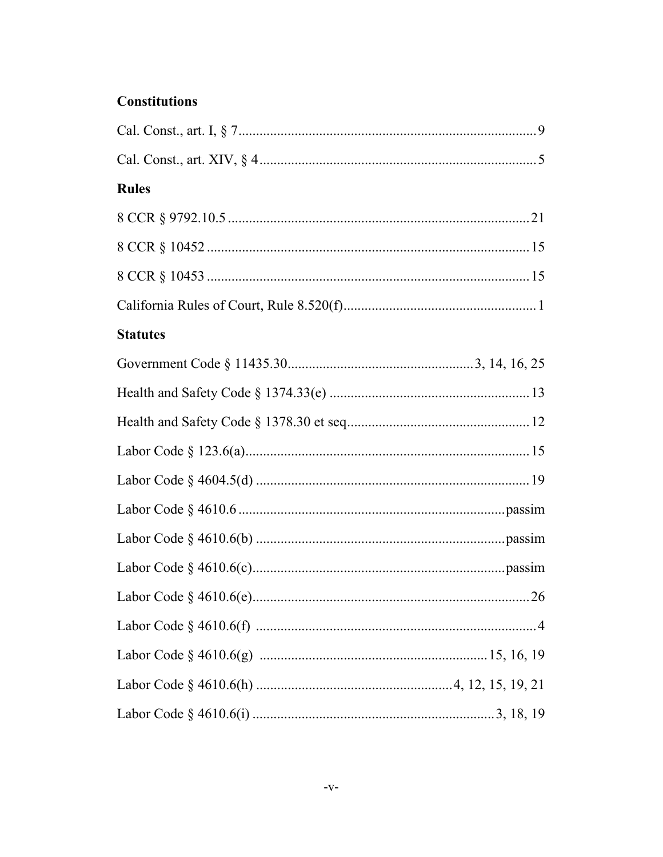## **Constitutions**

| <b>Rules</b>    |  |
|-----------------|--|
|                 |  |
|                 |  |
|                 |  |
|                 |  |
| <b>Statutes</b> |  |
|                 |  |
|                 |  |
|                 |  |
|                 |  |
|                 |  |
|                 |  |
|                 |  |
|                 |  |
|                 |  |
|                 |  |
|                 |  |
|                 |  |
|                 |  |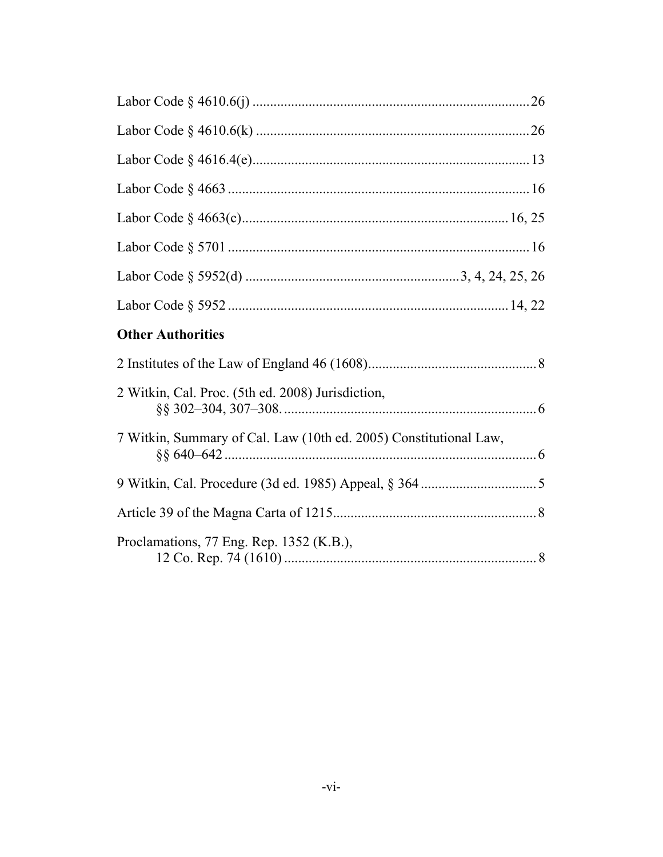| <b>Other Authorities</b>                                          |  |
|-------------------------------------------------------------------|--|
|                                                                   |  |
| 2 Witkin, Cal. Proc. (5th ed. 2008) Jurisdiction,                 |  |
| 7 Witkin, Summary of Cal. Law (10th ed. 2005) Constitutional Law, |  |
|                                                                   |  |
|                                                                   |  |
| Proclamations, 77 Eng. Rep. 1352 (K.B.),                          |  |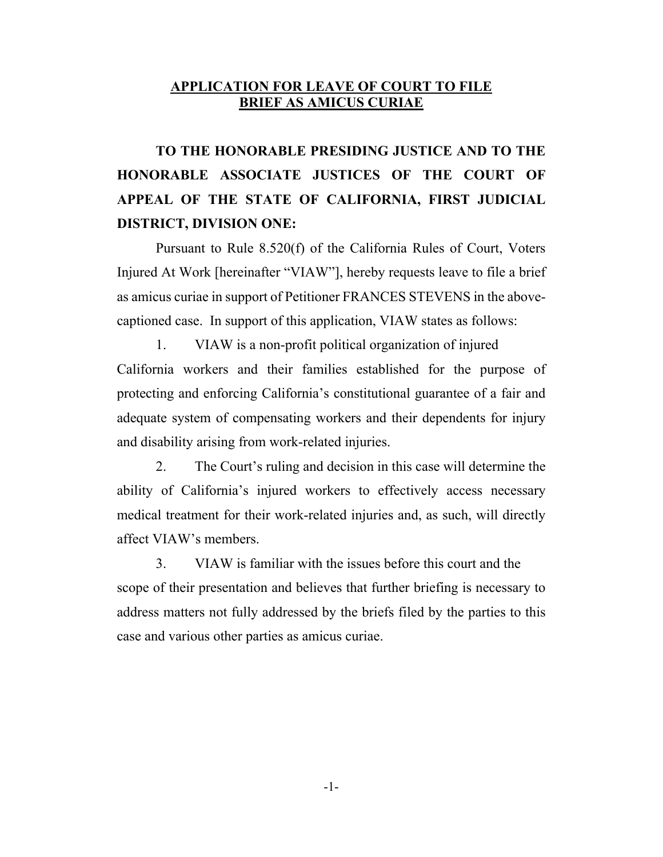#### **APPLICATION FOR LEAVE OF COURT TO FILE BRIEF AS AMICUS CURIAE**

 **TO THE HONORABLE PRESIDING JUSTICE AND TO THE HONORABLE ASSOCIATE JUSTICES OF THE COURT OF APPEAL OF THE STATE OF CALIFORNIA, FIRST JUDICIAL DISTRICT, DIVISION ONE:** 

 Pursuant to Rule 8.520(f) of the California Rules of Court, Voters Injured At Work [hereinafter "VIAW"], hereby requests leave to file a brief as amicus curiae in support of Petitioner FRANCES STEVENS in the abovecaptioned case. In support of this application, VIAW states as follows:

1. VIAW is a non-profit political organization of injured California workers and their families established for the purpose of protecting and enforcing California's constitutional guarantee of a fair and adequate system of compensating workers and their dependents for injury and disability arising from work-related injuries.

 2. The Court's ruling and decision in this case will determine the ability of California's injured workers to effectively access necessary medical treatment for their work-related injuries and, as such, will directly affect VIAW's members.

3. VIAW is familiar with the issues before this court and the scope of their presentation and believes that further briefing is necessary to address matters not fully addressed by the briefs filed by the parties to this case and various other parties as amicus curiae.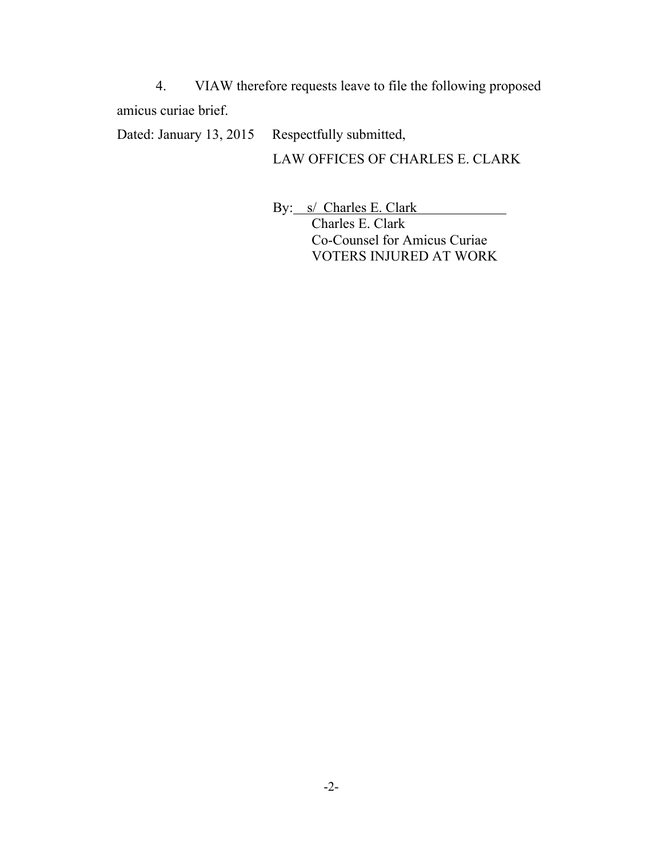4. VIAW therefore requests leave to file the following proposed amicus curiae brief.

Dated: January 13, 2015 Respectfully submitted,

LAW OFFICES OF CHARLES E. CLARK

By: s/ Charles E. Clark Charles E. Clark Co-Counsel for Amicus Curiae VOTERS INJURED AT WORK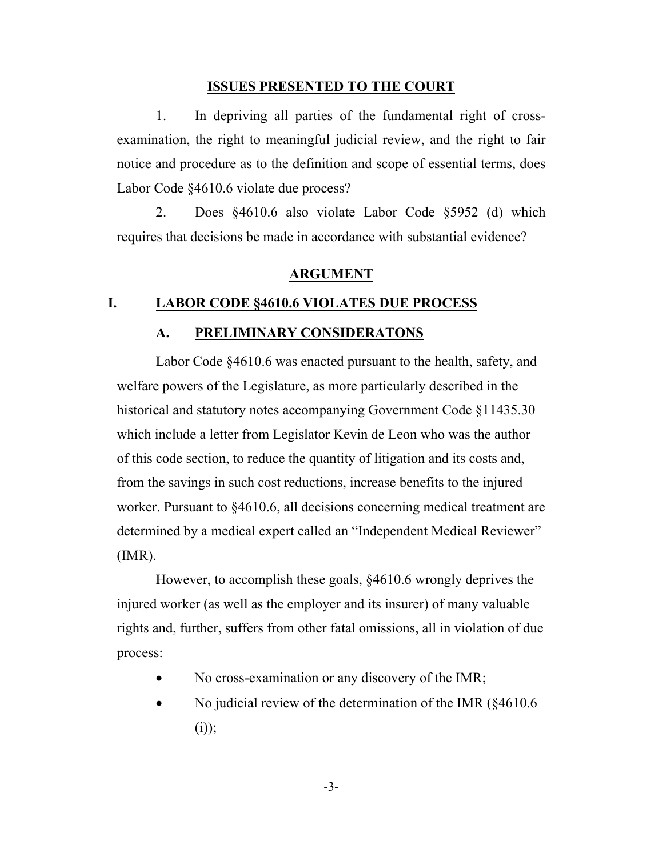#### **ISSUES PRESENTED TO THE COURT**

1. In depriving all parties of the fundamental right of crossexamination, the right to meaningful judicial review, and the right to fair notice and procedure as to the definition and scope of essential terms, does Labor Code §4610.6 violate due process?

2. Does §4610.6 also violate Labor Code §5952 (d) which requires that decisions be made in accordance with substantial evidence?

#### **ARGUMENT**

#### **I. LABOR CODE §4610.6 VIOLATES DUE PROCESS**

#### **A. PRELIMINARY CONSIDERATONS**

Labor Code §4610.6 was enacted pursuant to the health, safety, and welfare powers of the Legislature, as more particularly described in the historical and statutory notes accompanying Government Code §11435.30 which include a letter from Legislator Kevin de Leon who was the author of this code section, to reduce the quantity of litigation and its costs and, from the savings in such cost reductions, increase benefits to the injured worker. Pursuant to §4610.6, all decisions concerning medical treatment are determined by a medical expert called an "Independent Medical Reviewer" (IMR).

However, to accomplish these goals, §4610.6 wrongly deprives the injured worker (as well as the employer and its insurer) of many valuable rights and, further, suffers from other fatal omissions, all in violation of due process:

- No cross-examination or any discovery of the IMR;
- No judicial review of the determination of the IMR (§4610.6  $(i)$ ;

-3-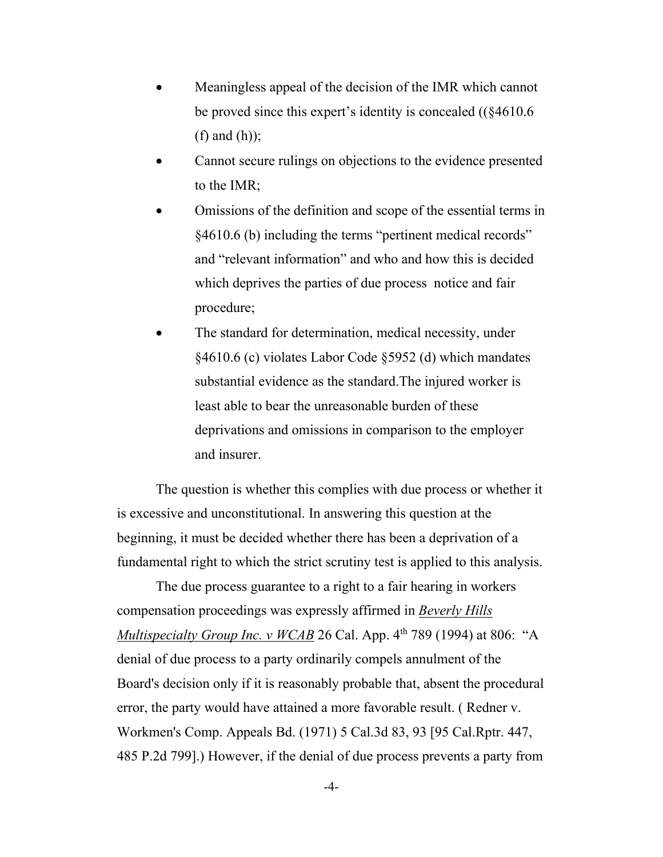- Meaningless appeal of the decision of the IMR which cannot be proved since this expert's identity is concealed ((§4610.6 (f) and (h));
- Cannot secure rulings on objections to the evidence presented to the IMR;
- Omissions of the definition and scope of the essential terms in §4610.6 (b) including the terms "pertinent medical records" and "relevant information" and who and how this is decided which deprives the parties of due process notice and fair procedure;
- The standard for determination, medical necessity, under §4610.6 (c) violates Labor Code §5952 (d) which mandates substantial evidence as the standard.The injured worker is least able to bear the unreasonable burden of these deprivations and omissions in comparison to the employer and insurer.

 The question is whether this complies with due process or whether it is excessive and unconstitutional. In answering this question at the beginning, it must be decided whether there has been a deprivation of a fundamental right to which the strict scrutiny test is applied to this analysis.

 The due process guarantee to a right to a fair hearing in workers compensation proceedings was expressly affirmed in *Beverly Hills Multispecialty Group Inc. v WCAB* 26 Cal. App. 4<sup>th</sup> 789 (1994) at 806: "A denial of due process to a party ordinarily compels annulment of the Board's decision only if it is reasonably probable that, absent the procedural error, the party would have attained a more favorable result. ( Redner v. Workmen's Comp. Appeals Bd. (1971) 5 Cal.3d 83, 93 [95 Cal.Rptr. 447, 485 P.2d 799].) However, if the denial of due process prevents a party from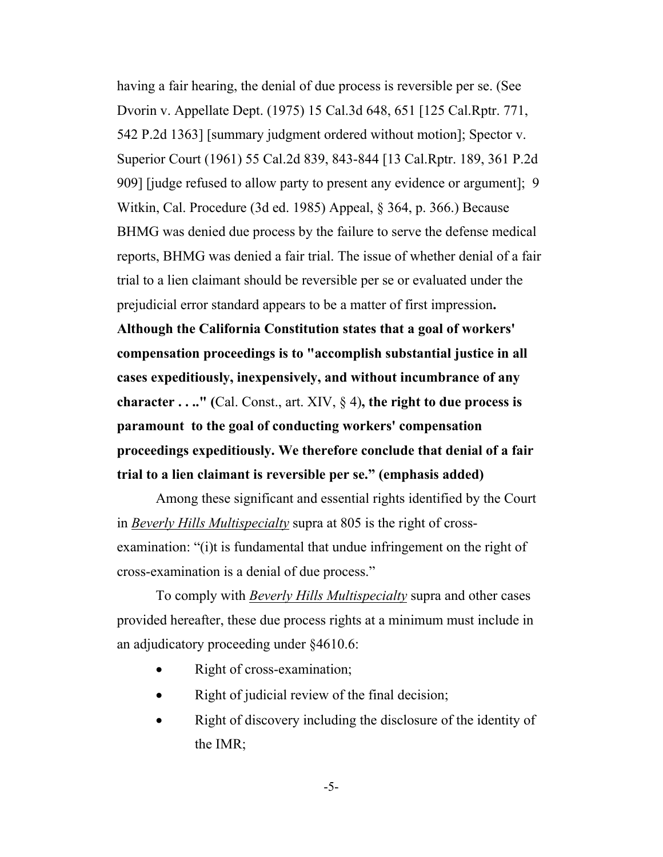having a fair hearing, the denial of due process is reversible per se. (See Dvorin v. Appellate Dept. (1975) 15 Cal.3d 648, 651 [125 Cal.Rptr. 771, 542 P.2d 1363] [summary judgment ordered without motion]; Spector v. Superior Court (1961) 55 Cal.2d 839, 843-844 [13 Cal.Rptr. 189, 361 P.2d 909] [judge refused to allow party to present any evidence or argument]; 9 Witkin, Cal. Procedure (3d ed. 1985) Appeal, § 364, p. 366.) Because BHMG was denied due process by the failure to serve the defense medical reports, BHMG was denied a fair trial. The issue of whether denial of a fair trial to a lien claimant should be reversible per se or evaluated under the prejudicial error standard appears to be a matter of first impression**.** 

**Although the California Constitution states that a goal of workers' compensation proceedings is to "accomplish substantial justice in all cases expeditiously, inexpensively, and without incumbrance of any character . . .." (**Cal. Const., art. XIV, § 4)**, the right to due process is paramount to the goal of conducting workers' compensation proceedings expeditiously. We therefore conclude that denial of a fair trial to a lien claimant is reversible per se." (emphasis added)**

 Among these significant and essential rights identified by the Court in *Beverly Hills Multispecialty* supra at 805 is the right of crossexamination: "(i)t is fundamental that undue infringement on the right of cross-examination is a denial of due process."

 To comply with *Beverly Hills Multispecialty* supra and other cases provided hereafter, these due process rights at a minimum must include in an adjudicatory proceeding under §4610.6:

- Right of cross-examination;
- Right of judicial review of the final decision;
- Right of discovery including the disclosure of the identity of the IMR;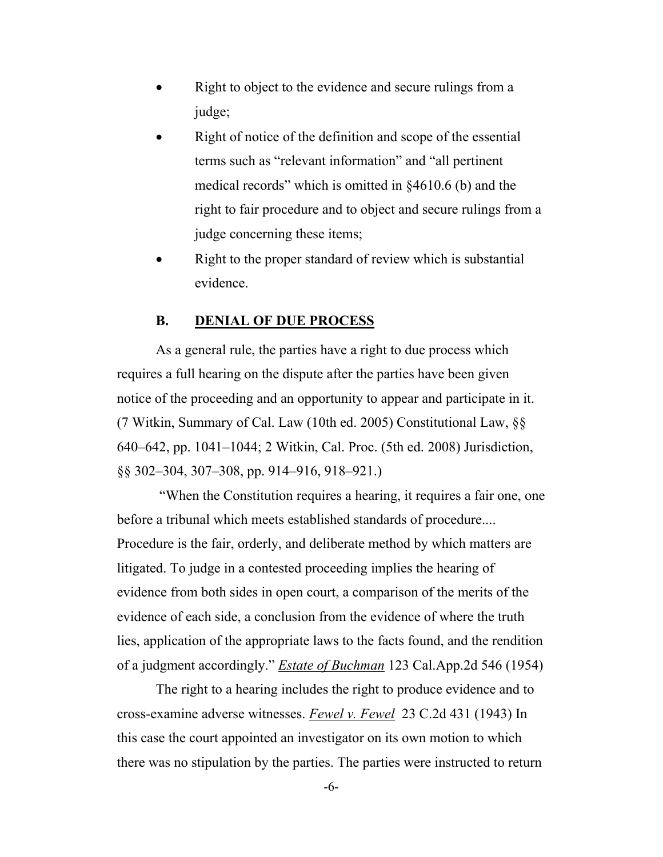- Right to object to the evidence and secure rulings from a judge;
- Right of notice of the definition and scope of the essential terms such as "relevant information" and "all pertinent medical records" which is omitted in §4610.6 (b) and the right to fair procedure and to object and secure rulings from a judge concerning these items;
- Right to the proper standard of review which is substantial evidence.

#### **B. DENIAL OF DUE PROCESS**

 As a general rule, the parties have a right to due process which requires a full hearing on the dispute after the parties have been given notice of the proceeding and an opportunity to appear and participate in it. (7 Witkin, Summary of Cal. Law (10th ed. 2005) Constitutional Law, §§ 640–642, pp. 1041–1044; 2 Witkin, Cal. Proc. (5th ed. 2008) Jurisdiction, §§ 302–304, 307–308, pp. 914–916, 918–921.)

 "When the Constitution requires a hearing, it requires a fair one, one before a tribunal which meets established standards of procedure.... Procedure is the fair, orderly, and deliberate method by which matters are litigated. To judge in a contested proceeding implies the hearing of evidence from both sides in open court, a comparison of the merits of the evidence of each side, a conclusion from the evidence of where the truth lies, application of the appropriate laws to the facts found, and the rendition of a judgment accordingly." *Estate of Buchman* 123 Cal.App.2d 546 (1954)

 The right to a hearing includes the right to produce evidence and to cross-examine adverse witnesses. *Fewel v. Fewel* 23 C.2d 431 (1943) In this case the court appointed an investigator on its own motion to which there was no stipulation by the parties. The parties were instructed to return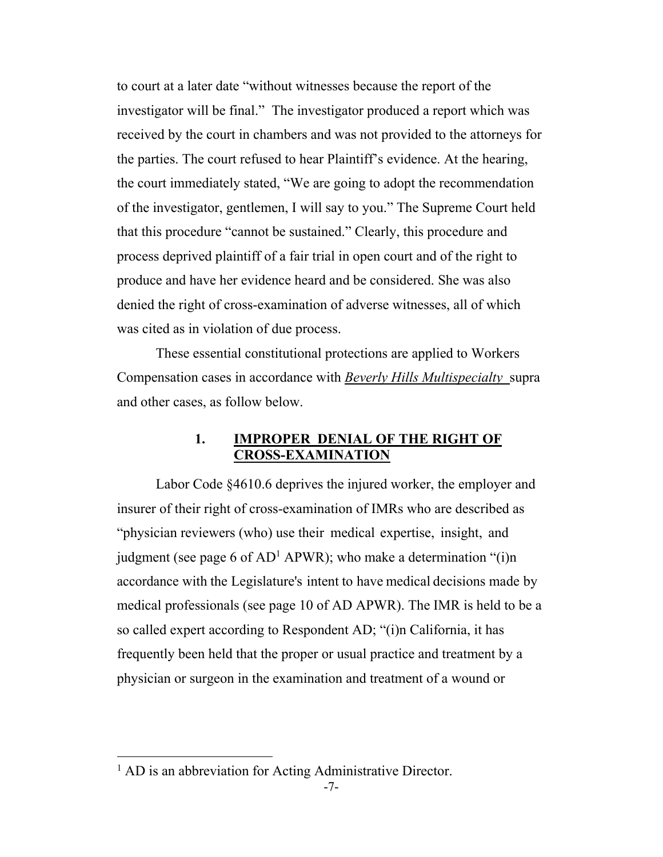to court at a later date "without witnesses because the report of the investigator will be final." The investigator produced a report which was received by the court in chambers and was not provided to the attorneys for the parties. The court refused to hear Plaintiff's evidence. At the hearing, the court immediately stated, "We are going to adopt the recommendation of the investigator, gentlemen, I will say to you." The Supreme Court held that this procedure "cannot be sustained." Clearly, this procedure and process deprived plaintiff of a fair trial in open court and of the right to produce and have her evidence heard and be considered. She was also denied the right of cross-examination of adverse witnesses, all of which was cited as in violation of due process.

 These essential constitutional protections are applied to Workers Compensation cases in accordance with *Beverly Hills Multispecialty* supra and other cases, as follow below.

#### **1. IMPROPER DENIAL OF THE RIGHT OF CROSS-EXAMINATION**

 Labor Code §4610.6 deprives the injured worker, the employer and insurer of their right of cross-examination of IMRs who are described as "physician reviewers (who) use their medical expertise, insight, and judgment (see page 6 of  $AD<sup>1</sup>$  APWR); who make a determination "(i)n accordance with the Legislature's intent to have medical decisions made by medical professionals (see page 10 of AD APWR). The IMR is held to be a so called expert according to Respondent AD; "(i)n California, it has frequently been held that the proper or usual practice and treatment by a physician or surgeon in the examination and treatment of a wound or

 $\overline{a}$ 

<sup>&</sup>lt;sup>1</sup> AD is an abbreviation for Acting Administrative Director.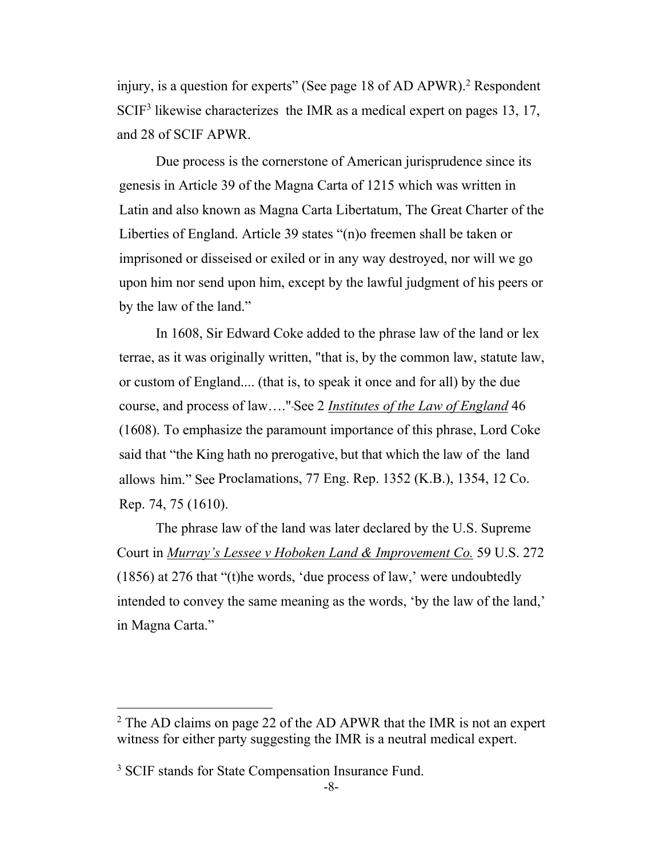injury, is a question for experts" (See page 18 of AD APWR).<sup>2</sup> Respondent SCIF<sup>3</sup> likewise characterizes the IMR as a medical expert on pages 13, 17, and 28 of SCIF APWR.

 Due process is the cornerstone of American jurisprudence since its genesis in Article 39 of the Magna Carta of 1215 which was written in Latin and also known as Magna Carta Libertatum, The Great Charter of the Liberties of England. Article 39 states "(n)o freemen shall be taken or imprisoned or disseised or exiled or in any way destroyed, nor will we go upon him nor send upon him, except by the lawful judgment of his peers or by the law of the land."

 In 1608, Sir Edward Coke added to the phrase law of the land or lex terrae, as it was originally written, "that is, by the common law, statute law, or custom of England.... (that is, to speak it once and for all) by the due course, and process of law…." See 2 *Institutes of the Law of England* 46 (1608). To emphasize the paramount importance of this phrase, Lord Coke said that "the King hath no prerogative, but that which the law of the land allows him." See Proclamations, 77 Eng. Rep. 1352 (K.B.), 1354, 12 Co. Rep. 74, 75 (1610).

 The phrase law of the land was later declared by the U.S. Supreme Court in *Murray's Lessee v Hoboken Land & Improvement Co.* 59 U.S. 272 (1856) at 276 that "(t)he words, 'due process of law,' were undoubtedly intended to convey the same meaning as the words, 'by the law of the land,' in Magna Carta."

 $\overline{a}$ 

<sup>&</sup>lt;sup>2</sup> The AD claims on page 22 of the AD APWR that the IMR is not an expert witness for either party suggesting the IMR is a neutral medical expert.

<sup>&</sup>lt;sup>3</sup> SCIF stands for State Compensation Insurance Fund.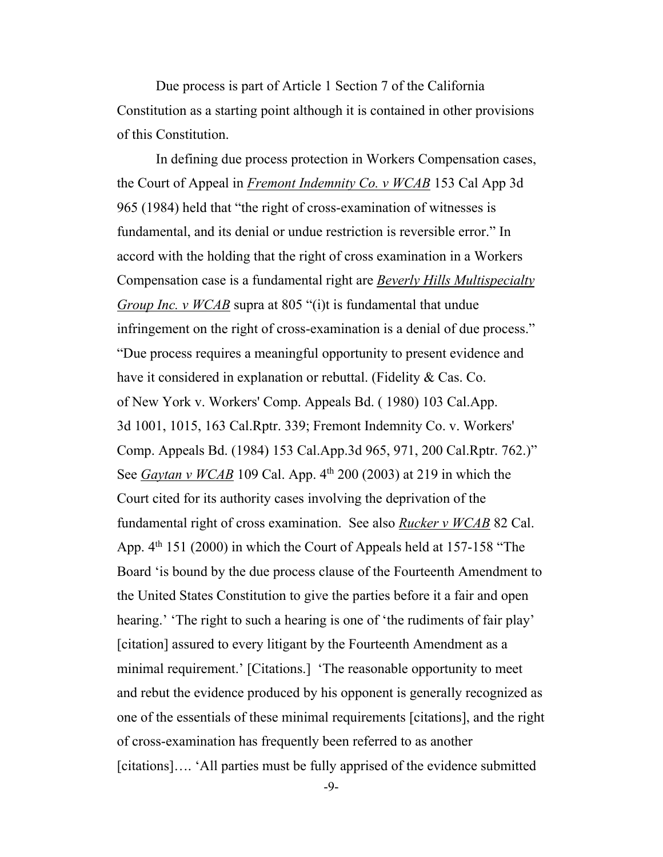Due process is part of Article 1 Section 7 of the California Constitution as a starting point although it is contained in other provisions of this Constitution.

 In defining due process protection in Workers Compensation cases, the Court of Appeal in *Fremont Indemnity Co. v WCAB* 153 Cal App 3d 965 (1984) held that "the right of cross-examination of witnesses is fundamental, and its denial or undue restriction is reversible error." In accord with the holding that the right of cross examination in a Workers Compensation case is a fundamental right are *Beverly Hills Multispecialty Group Inc. v WCAB* supra at 805 "(i)t is fundamental that undue infringement on the right of cross-examination is a denial of due process." "Due process requires a meaningful opportunity to present evidence and have it considered in explanation or rebuttal. (Fidelity & Cas. Co. of New York v. Workers' Comp. Appeals Bd. ( 1980) 103 Cal.App. 3d 1001, 1015, 163 Cal.Rptr. 339; Fremont Indemnity Co. v. Workers' Comp. Appeals Bd. (1984) 153 Cal.App.3d 965, 971, 200 Cal.Rptr. 762.)" See *Gaytan v WCAB* 109 Cal. App. 4<sup>th</sup> 200 (2003) at 219 in which the Court cited for its authority cases involving the deprivation of the fundamental right of cross examination. See also *Rucker v WCAB* 82 Cal. App.  $4<sup>th</sup>$  151 (2000) in which the Court of Appeals held at 157-158 "The Board 'is bound by the due process clause of the Fourteenth Amendment to the United States Constitution to give the parties before it a fair and open hearing.' The right to such a hearing is one of 'the rudiments of fair play' [citation] assured to every litigant by the Fourteenth Amendment as a minimal requirement.' [Citations.] 'The reasonable opportunity to meet and rebut the evidence produced by his opponent is generally recognized as one of the essentials of these minimal requirements [citations], and the right of cross-examination has frequently been referred to as another [citations]…. 'All parties must be fully apprised of the evidence submitted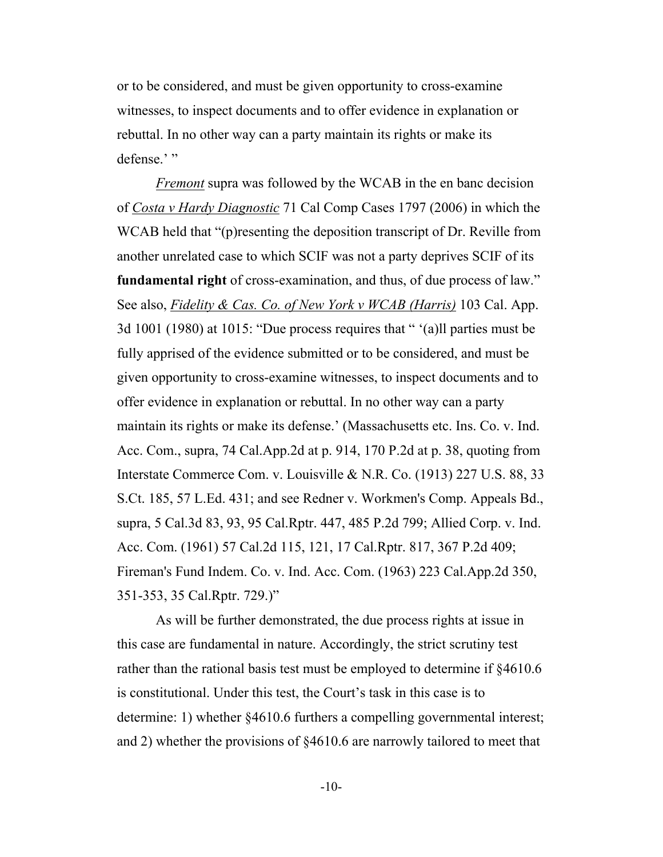or to be considered, and must be given opportunity to cross-examine witnesses, to inspect documents and to offer evidence in explanation or rebuttal. In no other way can a party maintain its rights or make its defense.'"

 *Fremont* supra was followed by the WCAB in the en banc decision of *Costa v Hardy Diagnostic* 71 Cal Comp Cases 1797 (2006) in which the WCAB held that "(p)resenting the deposition transcript of Dr. Reville from another unrelated case to which SCIF was not a party deprives SCIF of its **fundamental right** of cross-examination, and thus, of due process of law." See also, *Fidelity & Cas. Co. of New York v WCAB (Harris)* 103 Cal. App. 3d 1001 (1980) at 1015: "Due process requires that " '(a)ll parties must be fully apprised of the evidence submitted or to be considered, and must be given opportunity to cross-examine witnesses, to inspect documents and to offer evidence in explanation or rebuttal. In no other way can a party maintain its rights or make its defense.' (Massachusetts etc. Ins. Co. v. Ind. Acc. Com., supra, 74 Cal.App.2d at p. 914, 170 P.2d at p. 38, quoting from Interstate Commerce Com. v. Louisville & N.R. Co. (1913) 227 U.S. 88, 33 S.Ct. 185, 57 L.Ed. 431; and see Redner v. Workmen's Comp. Appeals Bd., supra, 5 Cal.3d 83, 93, 95 Cal.Rptr. 447, 485 P.2d 799; Allied Corp. v. Ind. Acc. Com. (1961) 57 Cal.2d 115, 121, 17 Cal.Rptr. 817, 367 P.2d 409; Fireman's Fund Indem. Co. v. Ind. Acc. Com. (1963) 223 Cal.App.2d 350, 351-353, 35 Cal.Rptr. 729.)"

 As will be further demonstrated, the due process rights at issue in this case are fundamental in nature. Accordingly, the strict scrutiny test rather than the rational basis test must be employed to determine if §4610.6 is constitutional. Under this test, the Court's task in this case is to determine: 1) whether §4610.6 furthers a compelling governmental interest; and 2) whether the provisions of §4610.6 are narrowly tailored to meet that

-10-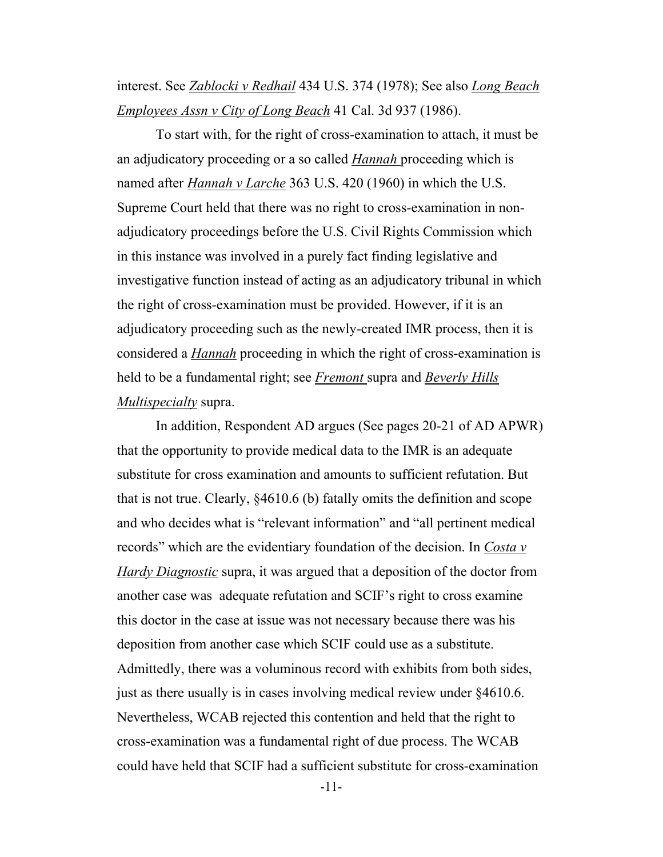interest. See *Zablocki v Redhail* 434 U.S. 374 (1978); See also *Long Beach Employees Assn v City of Long Beach* 41 Cal. 3d 937 (1986).

 To start with, for the right of cross-examination to attach, it must be an adjudicatory proceeding or a so called *Hannah* proceeding which is named after *Hannah v Larche* 363 U.S. 420 (1960) in which the U.S. Supreme Court held that there was no right to cross-examination in nonadjudicatory proceedings before the U.S. Civil Rights Commission which in this instance was involved in a purely fact finding legislative and investigative function instead of acting as an adjudicatory tribunal in which the right of cross-examination must be provided. However, if it is an adjudicatory proceeding such as the newly-created IMR process, then it is considered a *Hannah* proceeding in which the right of cross-examination is held to be a fundamental right; see *Fremont* supra and *Beverly Hills Multispecialty* supra.

 In addition, Respondent AD argues (See pages 20-21 of AD APWR) that the opportunity to provide medical data to the IMR is an adequate substitute for cross examination and amounts to sufficient refutation. But that is not true. Clearly, §4610.6 (b) fatally omits the definition and scope and who decides what is "relevant information" and "all pertinent medical records" which are the evidentiary foundation of the decision. In *Costa v Hardy Diagnostic* supra, it was argued that a deposition of the doctor from another case was adequate refutation and SCIF's right to cross examine this doctor in the case at issue was not necessary because there was his deposition from another case which SCIF could use as a substitute. Admittedly, there was a voluminous record with exhibits from both sides, just as there usually is in cases involving medical review under §4610.6. Nevertheless, WCAB rejected this contention and held that the right to cross-examination was a fundamental right of due process. The WCAB could have held that SCIF had a sufficient substitute for cross-examination

-11-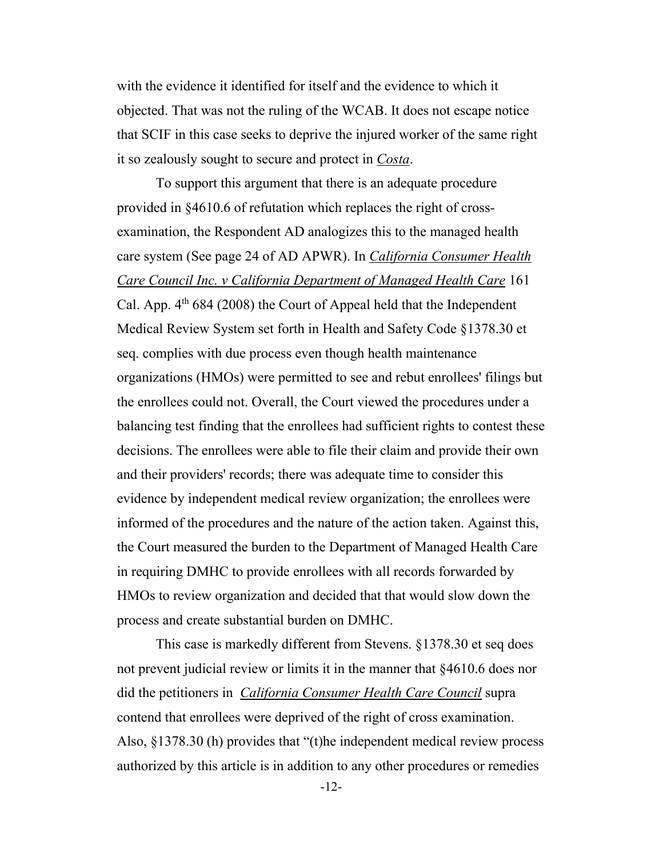with the evidence it identified for itself and the evidence to which it objected. That was not the ruling of the WCAB. It does not escape notice that SCIF in this case seeks to deprive the injured worker of the same right it so zealously sought to secure and protect in *Costa*.

 To support this argument that there is an adequate procedure provided in §4610.6 of refutation which replaces the right of crossexamination, the Respondent AD analogizes this to the managed health care system (See page 24 of AD APWR). In *California Consumer Health Care Council Inc. v California Department of Managed Health Care* 161 Cal. App.  $4<sup>th</sup> 684$  (2008) the Court of Appeal held that the Independent Medical Review System set forth in Health and Safety Code §1378.30 et seq. complies with due process even though health maintenance organizations (HMOs) were permitted to see and rebut enrollees' filings but the enrollees could not. Overall, the Court viewed the procedures under a balancing test finding that the enrollees had sufficient rights to contest these decisions. The enrollees were able to file their claim and provide their own and their providers' records; there was adequate time to consider this evidence by independent medical review organization; the enrollees were informed of the procedures and the nature of the action taken. Against this, the Court measured the burden to the Department of Managed Health Care in requiring DMHC to provide enrollees with all records forwarded by HMOs to review organization and decided that that would slow down the process and create substantial burden on DMHC.

 This case is markedly different from Stevens. §1378.30 et seq does not prevent judicial review or limits it in the manner that §4610.6 does nor did the petitioners in *California Consumer Health Care Council* supra contend that enrollees were deprived of the right of cross examination. Also, §1378.30 (h) provides that "(t)he independent medical review process authorized by this article is in addition to any other procedures or remedies

-12-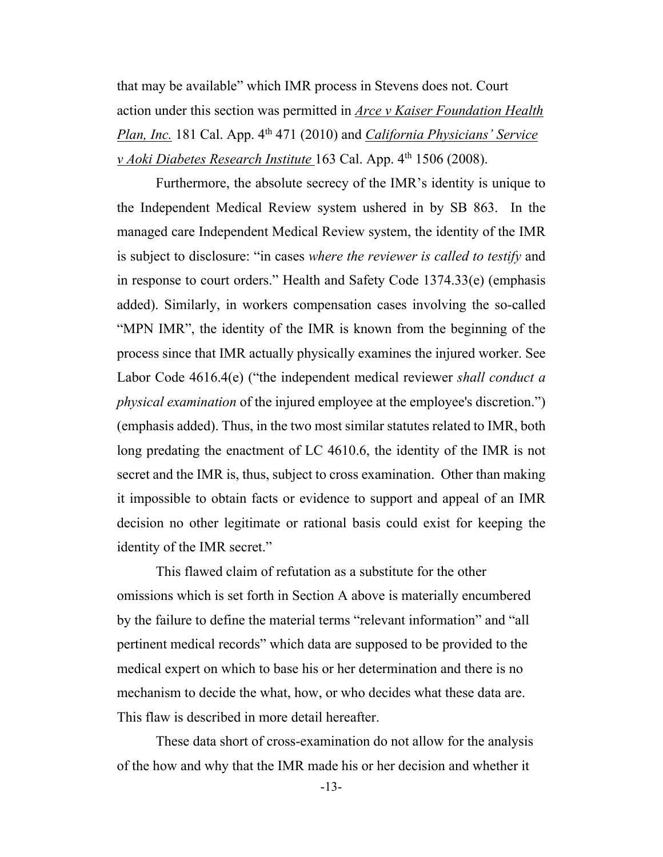that may be available" which IMR process in Stevens does not. Court action under this section was permitted in *Arce v Kaiser Foundation Health Plan, Inc.* 181 Cal. App. 4<sup>th</sup> 471 (2010) and *California Physicians' Service v Aoki Diabetes Research Institute* 163 Cal. App. 4<sup>th</sup> 1506 (2008).

 Furthermore, the absolute secrecy of the IMR's identity is unique to the Independent Medical Review system ushered in by SB 863. In the managed care Independent Medical Review system, the identity of the IMR is subject to disclosure: "in cases *where the reviewer is called to testify* and in response to court orders." Health and Safety Code 1374.33(e) (emphasis added). Similarly, in workers compensation cases involving the so-called "MPN IMR", the identity of the IMR is known from the beginning of the process since that IMR actually physically examines the injured worker. See Labor Code 4616.4(e) ("the independent medical reviewer *shall conduct a physical examination* of the injured employee at the employee's discretion.") (emphasis added). Thus, in the two most similar statutes related to IMR, both long predating the enactment of LC 4610.6, the identity of the IMR is not secret and the IMR is, thus, subject to cross examination. Other than making it impossible to obtain facts or evidence to support and appeal of an IMR decision no other legitimate or rational basis could exist for keeping the identity of the IMR secret."

 This flawed claim of refutation as a substitute for the other omissions which is set forth in Section A above is materially encumbered by the failure to define the material terms "relevant information" and "all pertinent medical records" which data are supposed to be provided to the medical expert on which to base his or her determination and there is no mechanism to decide the what, how, or who decides what these data are. This flaw is described in more detail hereafter.

 These data short of cross-examination do not allow for the analysis of the how and why that the IMR made his or her decision and whether it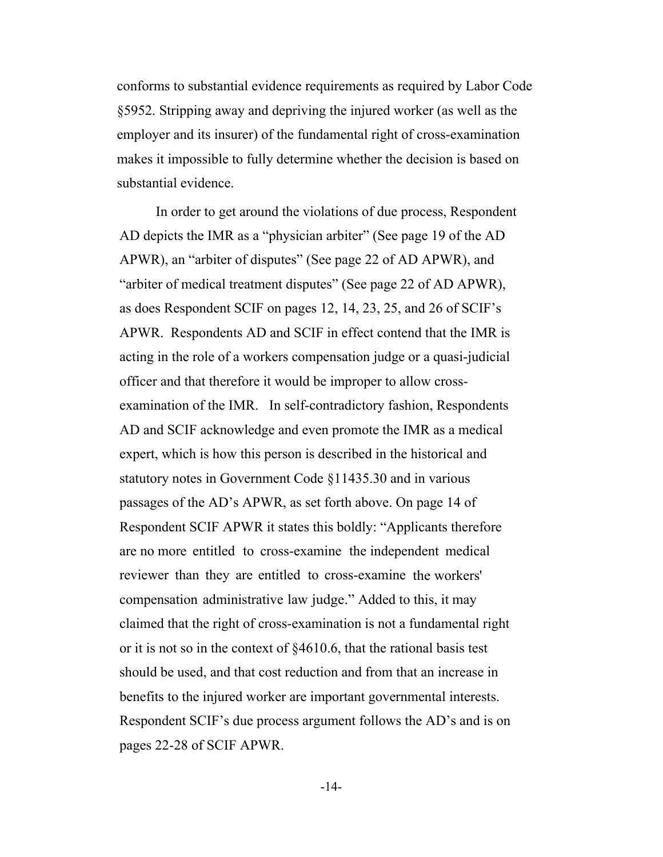conforms to substantial evidence requirements as required by Labor Code §5952. Stripping away and depriving the injured worker (as well as the employer and its insurer) of the fundamental right of cross-examination makes it impossible to fully determine whether the decision is based on substantial evidence.

 In order to get around the violations of due process, Respondent AD depicts the IMR as a "physician arbiter" (See page 19 of the AD APWR), an "arbiter of disputes" (See page 22 of AD APWR), and "arbiter of medical treatment disputes" (See page 22 of AD APWR), as does Respondent SCIF on pages 12, 14, 23, 25, and 26 of SCIF's APWR. Respondents AD and SCIF in effect contend that the IMR is acting in the role of a workers compensation judge or a quasi-judicial officer and that therefore it would be improper to allow crossexamination of the IMR. In self-contradictory fashion, Respondents AD and SCIF acknowledge and even promote the IMR as a medical expert, which is how this person is described in the historical and statutory notes in Government Code §11435.30 and in various passages of the AD's APWR, as set forth above. On page 14 of Respondent SCIF APWR it states this boldly: "Applicants therefore are no more entitled to cross-examine the independent medical reviewer than they are entitled to cross-examine the workers' compensation administrative law judge." Added to this, it may claimed that the right of cross-examination is not a fundamental right or it is not so in the context of §4610.6, that the rational basis test should be used, and that cost reduction and from that an increase in benefits to the injured worker are important governmental interests. Respondent SCIF's due process argument follows the AD's and is on pages 22-28 of SCIF APWR.

-14-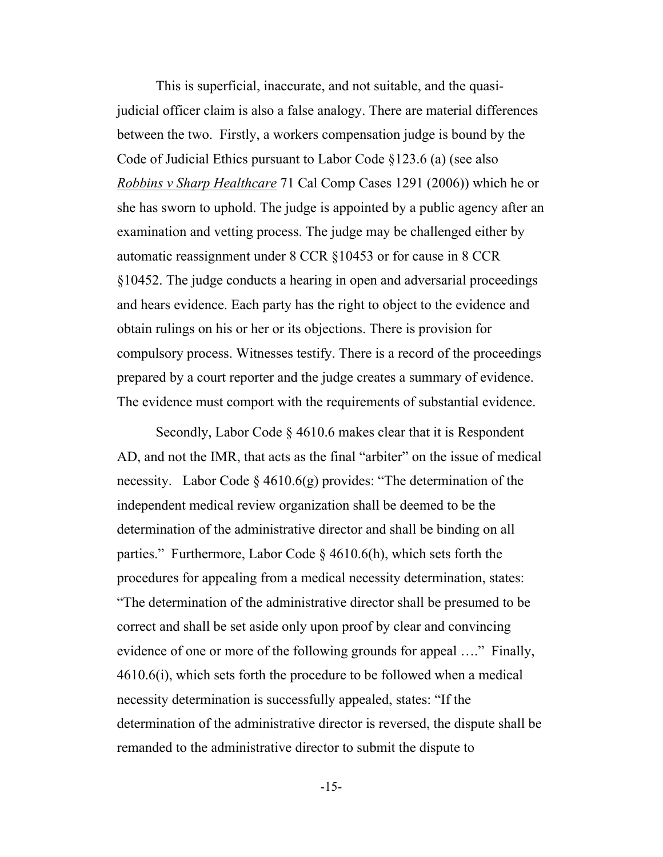This is superficial, inaccurate, and not suitable, and the quasijudicial officer claim is also a false analogy. There are material differences between the two. Firstly, a workers compensation judge is bound by the Code of Judicial Ethics pursuant to Labor Code §123.6 (a) (see also *Robbins v Sharp Healthcare* 71 Cal Comp Cases 1291 (2006)) which he or she has sworn to uphold. The judge is appointed by a public agency after an examination and vetting process. The judge may be challenged either by automatic reassignment under 8 CCR §10453 or for cause in 8 CCR §10452. The judge conducts a hearing in open and adversarial proceedings and hears evidence. Each party has the right to object to the evidence and obtain rulings on his or her or its objections. There is provision for compulsory process. Witnesses testify. There is a record of the proceedings prepared by a court reporter and the judge creates a summary of evidence. The evidence must comport with the requirements of substantial evidence.

 Secondly, Labor Code § 4610.6 makes clear that it is Respondent AD, and not the IMR, that acts as the final "arbiter" on the issue of medical necessity. Labor Code § 4610.6(g) provides: "The determination of the independent medical review organization shall be deemed to be the determination of the administrative director and shall be binding on all parties." Furthermore, Labor Code § 4610.6(h), which sets forth the procedures for appealing from a medical necessity determination, states: "The determination of the administrative director shall be presumed to be correct and shall be set aside only upon proof by clear and convincing evidence of one or more of the following grounds for appeal …." Finally, 4610.6(i), which sets forth the procedure to be followed when a medical necessity determination is successfully appealed, states: "If the determination of the administrative director is reversed, the dispute shall be remanded to the administrative director to submit the dispute to

-15-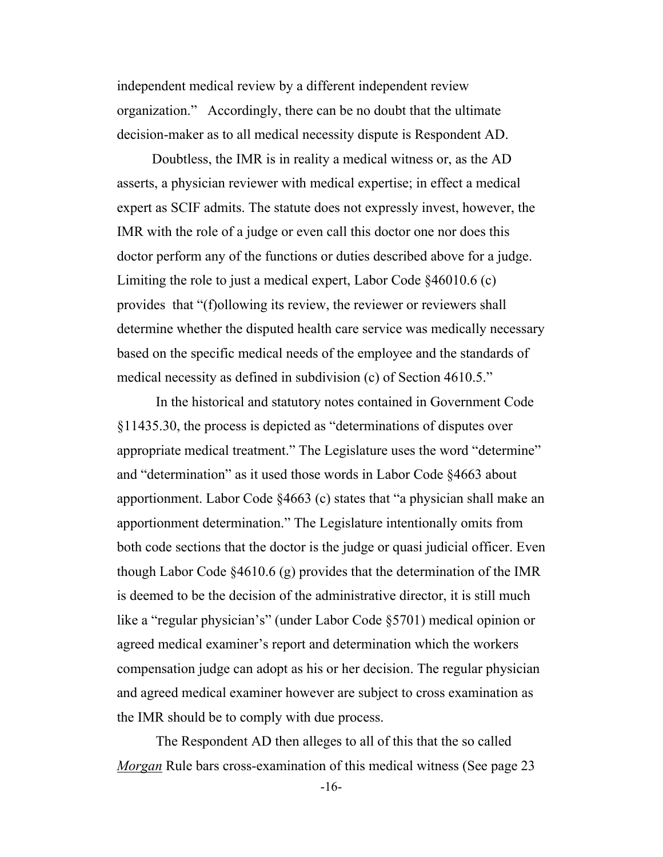independent medical review by a different independent review organization." Accordingly, there can be no doubt that the ultimate decision-maker as to all medical necessity dispute is Respondent AD.

 Doubtless, the IMR is in reality a medical witness or, as the AD asserts, a physician reviewer with medical expertise; in effect a medical expert as SCIF admits. The statute does not expressly invest, however, the IMR with the role of a judge or even call this doctor one nor does this doctor perform any of the functions or duties described above for a judge. Limiting the role to just a medical expert, Labor Code §46010.6 (c) provides that "(f)ollowing its review, the reviewer or reviewers shall determine whether the disputed health care service was medically necessary based on the specific medical needs of the employee and the standards of medical necessity as defined in subdivision (c) of Section 4610.5."

 In the historical and statutory notes contained in Government Code §11435.30, the process is depicted as "determinations of disputes over appropriate medical treatment." The Legislature uses the word "determine" and "determination" as it used those words in Labor Code §4663 about apportionment. Labor Code §4663 (c) states that "a physician shall make an apportionment determination." The Legislature intentionally omits from both code sections that the doctor is the judge or quasi judicial officer. Even though Labor Code §4610.6 (g) provides that the determination of the IMR is deemed to be the decision of the administrative director, it is still much like a "regular physician's" (under Labor Code §5701) medical opinion or agreed medical examiner's report and determination which the workers compensation judge can adopt as his or her decision. The regular physician and agreed medical examiner however are subject to cross examination as the IMR should be to comply with due process.

 The Respondent AD then alleges to all of this that the so called *Morgan* Rule bars cross-examination of this medical witness (See page 23

-16-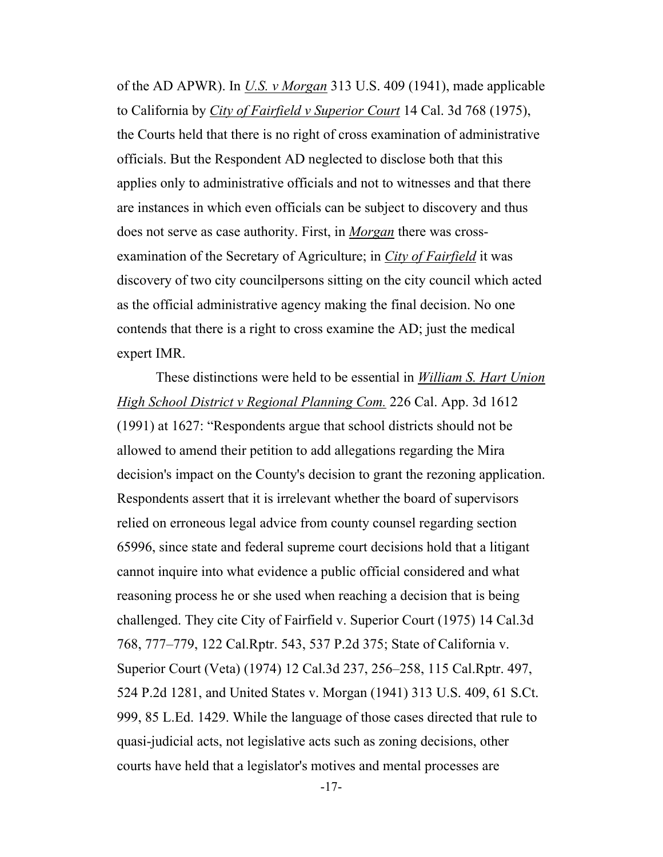of the AD APWR). In *U.S. v Morgan* 313 U.S. 409 (1941), made applicable to California by *City of Fairfield v Superior Court* 14 Cal. 3d 768 (1975), the Courts held that there is no right of cross examination of administrative officials. But the Respondent AD neglected to disclose both that this applies only to administrative officials and not to witnesses and that there are instances in which even officials can be subject to discovery and thus does not serve as case authority. First, in *Morgan* there was crossexamination of the Secretary of Agriculture; in *City of Fairfield* it was discovery of two city councilpersons sitting on the city council which acted as the official administrative agency making the final decision. No one contends that there is a right to cross examine the AD; just the medical expert IMR.

 These distinctions were held to be essential in *William S. Hart Union High School District v Regional Planning Com.* 226 Cal. App. 3d 1612 (1991) at 1627: "Respondents argue that school districts should not be allowed to amend their petition to add allegations regarding the Mira decision's impact on the County's decision to grant the rezoning application. Respondents assert that it is irrelevant whether the board of supervisors relied on erroneous legal advice from county counsel regarding section 65996, since state and federal supreme court decisions hold that a litigant cannot inquire into what evidence a public official considered and what reasoning process he or she used when reaching a decision that is being challenged. They cite City of Fairfield v. Superior Court (1975) 14 Cal.3d 768, 777–779, 122 Cal.Rptr. 543, 537 P.2d 375; State of California v. Superior Court (Veta) (1974) 12 Cal.3d 237, 256–258, 115 Cal.Rptr. 497, 524 P.2d 1281, and United States v. Morgan (1941) 313 U.S. 409, 61 S.Ct. 999, 85 L.Ed. 1429. While the language of those cases directed that rule to quasi-judicial acts, not legislative acts such as zoning decisions, other courts have held that a legislator's motives and mental processes are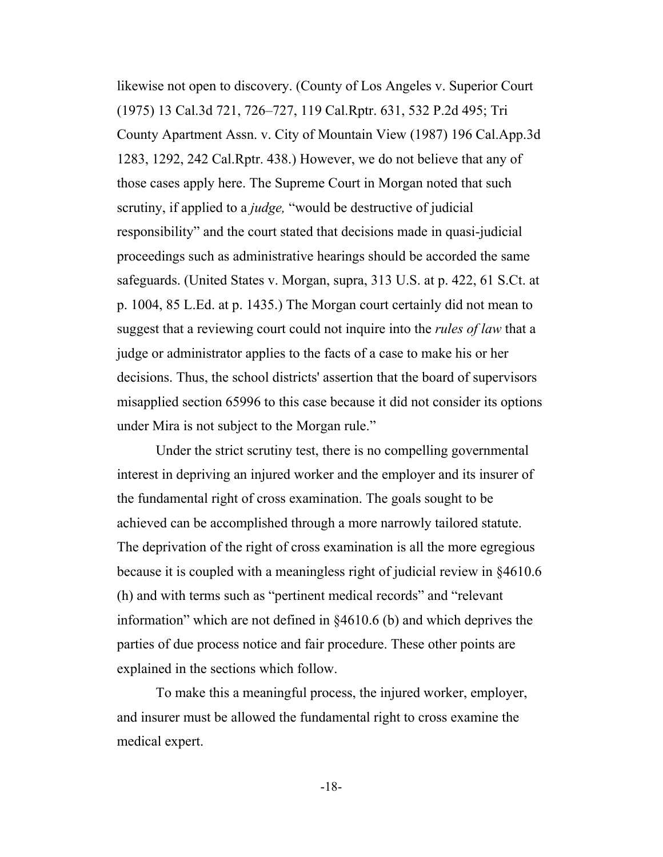likewise not open to discovery. (County of Los Angeles v. Superior Court (1975) 13 Cal.3d 721, 726–727, 119 Cal.Rptr. 631, 532 P.2d 495; Tri County Apartment Assn. v. City of Mountain View (1987) 196 Cal.App.3d 1283, 1292, 242 Cal.Rptr. 438.) However, we do not believe that any of those cases apply here. The Supreme Court in Morgan noted that such scrutiny, if applied to a *judge,* "would be destructive of judicial responsibility" and the court stated that decisions made in quasi-judicial proceedings such as administrative hearings should be accorded the same safeguards. (United States v. Morgan, supra, 313 U.S. at p. 422, 61 S.Ct. at p. 1004, 85 L.Ed. at p. 1435.) The Morgan court certainly did not mean to suggest that a reviewing court could not inquire into the *rules of law* that a judge or administrator applies to the facts of a case to make his or her decisions. Thus, the school districts' assertion that the board of supervisors misapplied section 65996 to this case because it did not consider its options under Mira is not subject to the Morgan rule."

 Under the strict scrutiny test, there is no compelling governmental interest in depriving an injured worker and the employer and its insurer of the fundamental right of cross examination. The goals sought to be achieved can be accomplished through a more narrowly tailored statute. The deprivation of the right of cross examination is all the more egregious because it is coupled with a meaningless right of judicial review in §4610.6 (h) and with terms such as "pertinent medical records" and "relevant information" which are not defined in §4610.6 (b) and which deprives the parties of due process notice and fair procedure. These other points are explained in the sections which follow.

 To make this a meaningful process, the injured worker, employer, and insurer must be allowed the fundamental right to cross examine the medical expert.

-18-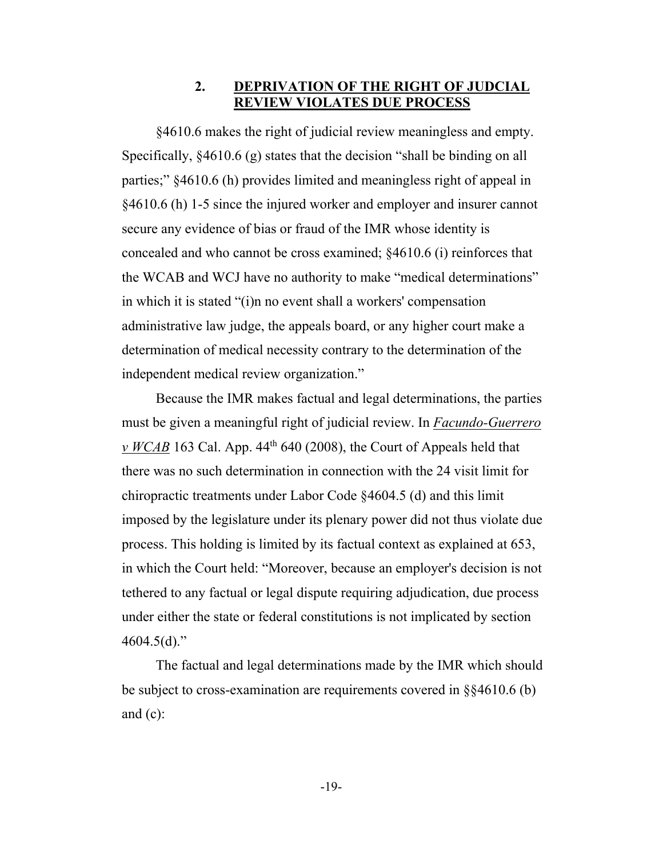#### **2. DEPRIVATION OF THE RIGHT OF JUDCIAL REVIEW VIOLATES DUE PROCESS**

 §4610.6 makes the right of judicial review meaningless and empty. Specifically, §4610.6 (g) states that the decision "shall be binding on all parties;" §4610.6 (h) provides limited and meaningless right of appeal in §4610.6 (h) 1-5 since the injured worker and employer and insurer cannot secure any evidence of bias or fraud of the IMR whose identity is concealed and who cannot be cross examined; §4610.6 (i) reinforces that the WCAB and WCJ have no authority to make "medical determinations" in which it is stated "(i)n no event shall a workers' compensation administrative law judge, the appeals board, or any higher court make a determination of medical necessity contrary to the determination of the independent medical review organization."

Because the IMR makes factual and legal determinations, the parties must be given a meaningful right of judicial review. In *Facundo-Guerrero v WCAB* 163 Cal. App. 44th 640 (2008), the Court of Appeals held that there was no such determination in connection with the 24 visit limit for chiropractic treatments under Labor Code §4604.5 (d) and this limit imposed by the legislature under its plenary power did not thus violate due process. This holding is limited by its factual context as explained at 653, in which the Court held: "Moreover, because an employer's decision is not tethered to any factual or legal dispute requiring adjudication, due process under either the state or federal constitutions is not implicated by section  $4604.5(d)$ ."

 The factual and legal determinations made by the IMR which should be subject to cross-examination are requirements covered in §§4610.6 (b) and  $(c)$ :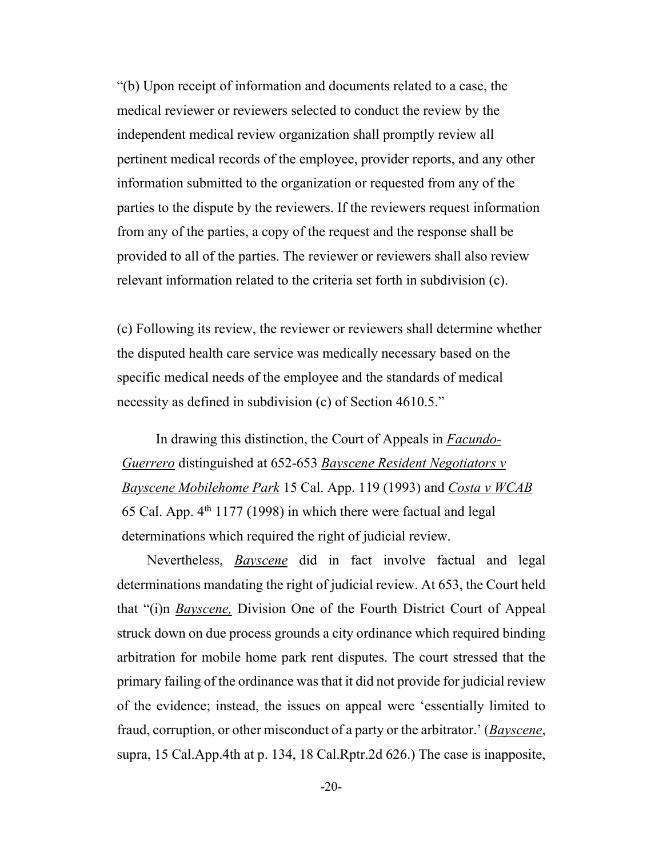"(b) Upon receipt of information and documents related to a case, the medical reviewer or reviewers selected to conduct the review by the independent medical review organization shall promptly review all pertinent medical records of the employee, provider reports, and any other information submitted to the organization or requested from any of the parties to the dispute by the reviewers. If the reviewers request information from any of the parties, a copy of the request and the response shall be provided to all of the parties. The reviewer or reviewers shall also review relevant information related to the criteria set forth in subdivision (c).

(c) Following its review, the reviewer or reviewers shall determine whether the disputed health care service was medically necessary based on the specific medical needs of the employee and the standards of medical necessity as defined in subdivision (c) of Section 4610.5."

 In drawing this distinction, the Court of Appeals in *Facundo-Guerrero* distinguished at 652-653 *Bayscene Resident Negotiators v Bayscene Mobilehome Park* 15 Cal. App. 119 (1993) and *Costa v WCAB* 65 Cal. App.  $4<sup>th</sup>$  1177 (1998) in which there were factual and legal determinations which required the right of judicial review.

 Nevertheless, *Bayscene* did in fact involve factual and legal determinations mandating the right of judicial review. At 653, the Court held that "(i)n *Bayscene,* Division One of the Fourth District Court of Appeal struck down on due process grounds a city ordinance which required binding arbitration for mobile home park rent disputes. The court stressed that the primary failing of the ordinance was that it did not provide for judicial review of the evidence; instead, the issues on appeal were 'essentially limited to fraud, corruption, or other misconduct of a party or the arbitrator.' (*Bayscene*, supra, 15 Cal.App.4th at p. 134, 18 Cal.Rptr.2d 626.) The case is inapposite,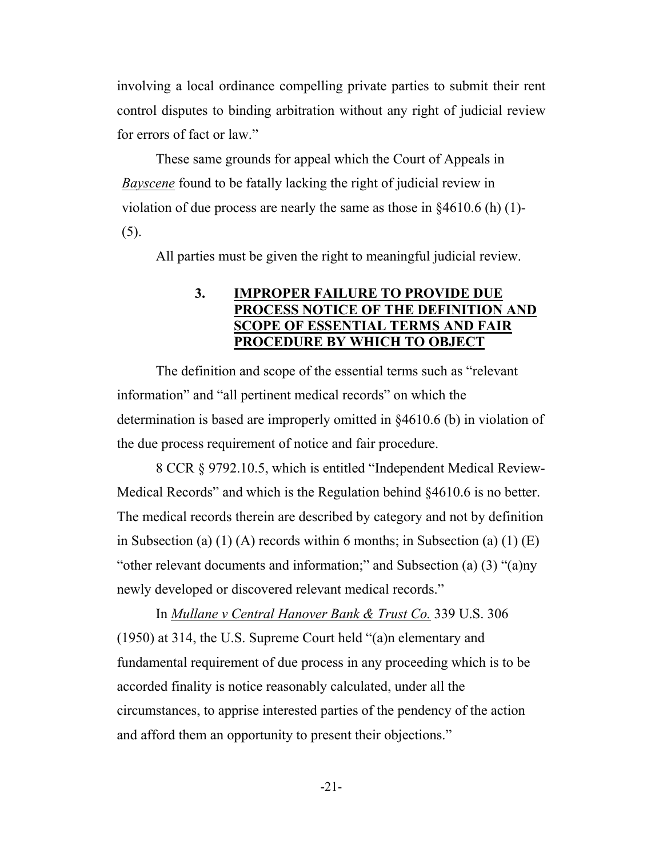involving a local ordinance compelling private parties to submit their rent control disputes to binding arbitration without any right of judicial review for errors of fact or law."

 These same grounds for appeal which the Court of Appeals in *Bayscene* found to be fatally lacking the right of judicial review in violation of due process are nearly the same as those in §4610.6 (h) (1)- (5).

All parties must be given the right to meaningful judicial review.

#### **3. IMPROPER FAILURE TO PROVIDE DUE PROCESS NOTICE OF THE DEFINITION AND SCOPE OF ESSENTIAL TERMS AND FAIR PROCEDURE BY WHICH TO OBJECT**

 The definition and scope of the essential terms such as "relevant information" and "all pertinent medical records" on which the determination is based are improperly omitted in §4610.6 (b) in violation of the due process requirement of notice and fair procedure.

 8 CCR § 9792.10.5, which is entitled "Independent Medical Review-Medical Records" and which is the Regulation behind §4610.6 is no better. The medical records therein are described by category and not by definition in Subsection (a)  $(1)$  (A) records within 6 months; in Subsection (a)  $(1)$  (E) "other relevant documents and information;" and Subsection (a) (3) "(a)ny newly developed or discovered relevant medical records."

 In *Mullane v Central Hanover Bank & Trust Co.* 339 U.S. 306 (1950) at 314, the U.S. Supreme Court held "(a)n elementary and fundamental requirement of due process in any proceeding which is to be accorded finality is notice reasonably calculated, under all the circumstances, to apprise interested parties of the pendency of the action and afford them an opportunity to present their objections."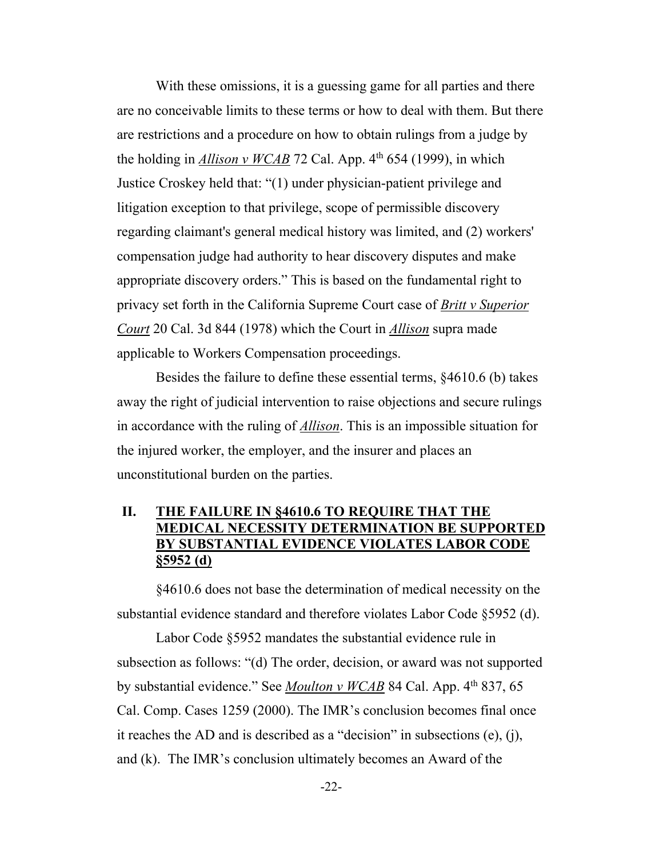With these omissions, it is a guessing game for all parties and there are no conceivable limits to these terms or how to deal with them. But there are restrictions and a procedure on how to obtain rulings from a judge by the holding in *Allison v WCAB* 72 Cal. App.  $4<sup>th</sup> 654$  (1999), in which Justice Croskey held that: "(1) under physician-patient privilege and litigation exception to that privilege, scope of permissible discovery regarding claimant's general medical history was limited, and (2) workers' compensation judge had authority to hear discovery disputes and make appropriate discovery orders." This is based on the fundamental right to privacy set forth in the California Supreme Court case of *Britt v Superior Court* 20 Cal. 3d 844 (1978) which the Court in *Allison* supra made applicable to Workers Compensation proceedings.

 Besides the failure to define these essential terms, §4610.6 (b) takes away the right of judicial intervention to raise objections and secure rulings in accordance with the ruling of *Allison*. This is an impossible situation for the injured worker, the employer, and the insurer and places an unconstitutional burden on the parties.

### **II. THE FAILURE IN §4610.6 TO REQUIRE THAT THE MEDICAL NECESSITY DETERMINATION BE SUPPORTED BY SUBSTANTIAL EVIDENCE VIOLATES LABOR CODE §5952 (d)**

 §4610.6 does not base the determination of medical necessity on the substantial evidence standard and therefore violates Labor Code §5952 (d).

 Labor Code §5952 mandates the substantial evidence rule in subsection as follows: "(d) The order, decision, or award was not supported by substantial evidence." See *Moulton v WCAB* 84 Cal. App. 4<sup>th</sup> 837, 65 Cal. Comp. Cases 1259 (2000). The IMR's conclusion becomes final once it reaches the AD and is described as a "decision" in subsections (e), (j), and (k). The IMR's conclusion ultimately becomes an Award of the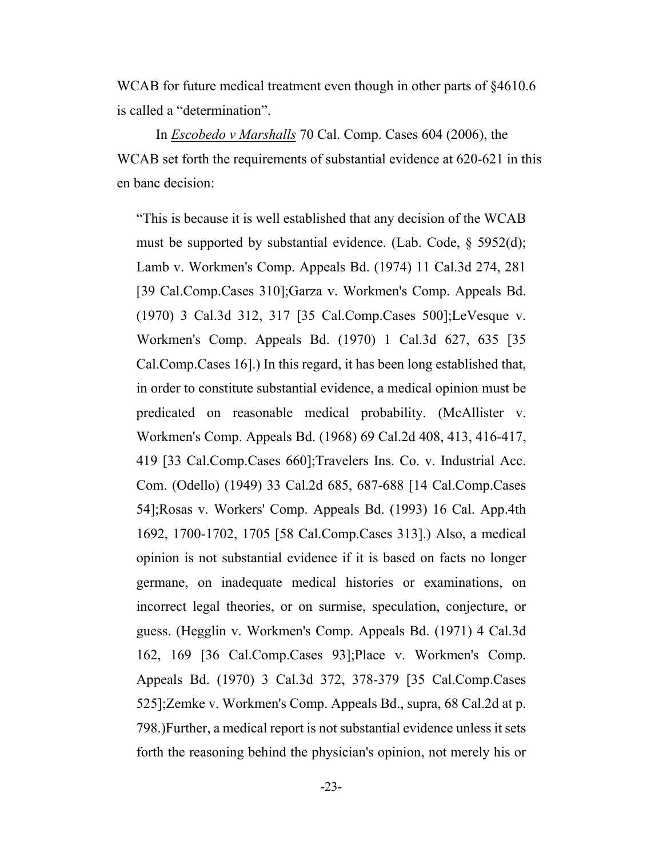WCAB for future medical treatment even though in other parts of  $\S 4610.6$ is called a "determination".

 In *Escobedo v Marshalls* 70 Cal. Comp. Cases 604 (2006), the WCAB set forth the requirements of substantial evidence at 620-621 in this en banc decision:

"This is because it is well established that any decision of the WCAB must be supported by substantial evidence. (Lab. Code, § 5952(d); Lamb v. Workmen's Comp. Appeals Bd. (1974) 11 Cal.3d 274, 281 [39 Cal.Comp.Cases 310];Garza v. Workmen's Comp. Appeals Bd. (1970) 3 Cal.3d 312, 317 [35 Cal.Comp.Cases 500];LeVesque v. Workmen's Comp. Appeals Bd. (1970) 1 Cal.3d 627, 635 [35 Cal.Comp.Cases 16].) In this regard, it has been long established that, in order to constitute substantial evidence, a medical opinion must be predicated on reasonable medical probability. (McAllister v. Workmen's Comp. Appeals Bd. (1968) 69 Cal.2d 408, 413, 416-417, 419 [33 Cal.Comp.Cases 660];Travelers Ins. Co. v. Industrial Acc. Com. (Odello) (1949) 33 Cal.2d 685, 687-688 [14 Cal.Comp.Cases 54];Rosas v. Workers' Comp. Appeals Bd. (1993) 16 Cal. App.4th 1692, 1700-1702, 1705 [58 Cal.Comp.Cases 313].) Also, a medical opinion is not substantial evidence if it is based on facts no longer germane, on inadequate medical histories or examinations, on incorrect legal theories, or on surmise, speculation, conjecture, or guess. (Hegglin v. Workmen's Comp. Appeals Bd. (1971) 4 Cal.3d 162, 169 [36 Cal.Comp.Cases 93];Place v. Workmen's Comp. Appeals Bd. (1970) 3 Cal.3d 372, 378-379 [35 Cal.Comp.Cases 525];Zemke v. Workmen's Comp. Appeals Bd., supra, 68 Cal.2d at p. 798.)Further, a medical report is not substantial evidence unless it sets forth the reasoning behind the physician's opinion, not merely his or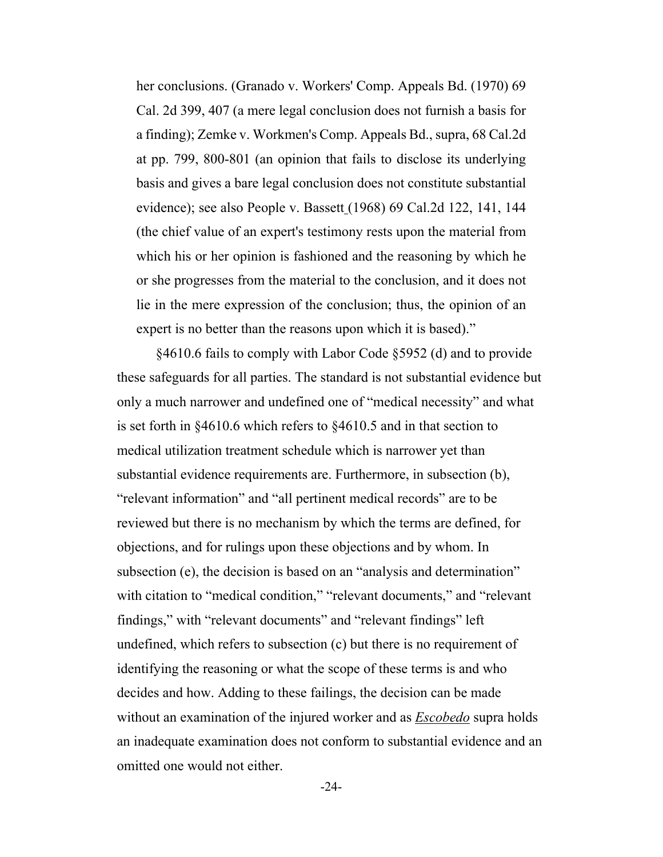her conclusions. (Granado v. Workers' Comp. Appeals Bd. (1970) 69 Cal. 2d 399, 407 (a mere legal conclusion does not furnish a basis for a finding); Zemke v. Workmen's Comp. Appeals Bd., supra, 68 Cal.2d at pp. 799, 800-801 (an opinion that fails to disclose its underlying basis and gives a bare legal conclusion does not constitute substantial evidence); see also People v. Bassett (1968) 69 Cal.2d 122, 141, 144 (the chief value of an expert's testimony rests upon the material from which his or her opinion is fashioned and the reasoning by which he or she progresses from the material to the conclusion, and it does not lie in the mere expression of the conclusion; thus, the opinion of an expert is no better than the reasons upon which it is based)."

 §4610.6 fails to comply with Labor Code §5952 (d) and to provide these safeguards for all parties. The standard is not substantial evidence but only a much narrower and undefined one of "medical necessity" and what is set forth in §4610.6 which refers to §4610.5 and in that section to medical utilization treatment schedule which is narrower yet than substantial evidence requirements are. Furthermore, in subsection (b), "relevant information" and "all pertinent medical records" are to be reviewed but there is no mechanism by which the terms are defined, for objections, and for rulings upon these objections and by whom. In subsection (e), the decision is based on an "analysis and determination" with citation to "medical condition," "relevant documents," and "relevant findings," with "relevant documents" and "relevant findings" left undefined, which refers to subsection (c) but there is no requirement of identifying the reasoning or what the scope of these terms is and who decides and how. Adding to these failings, the decision can be made without an examination of the injured worker and as *Escobedo* supra holds an inadequate examination does not conform to substantial evidence and an omitted one would not either.

-24-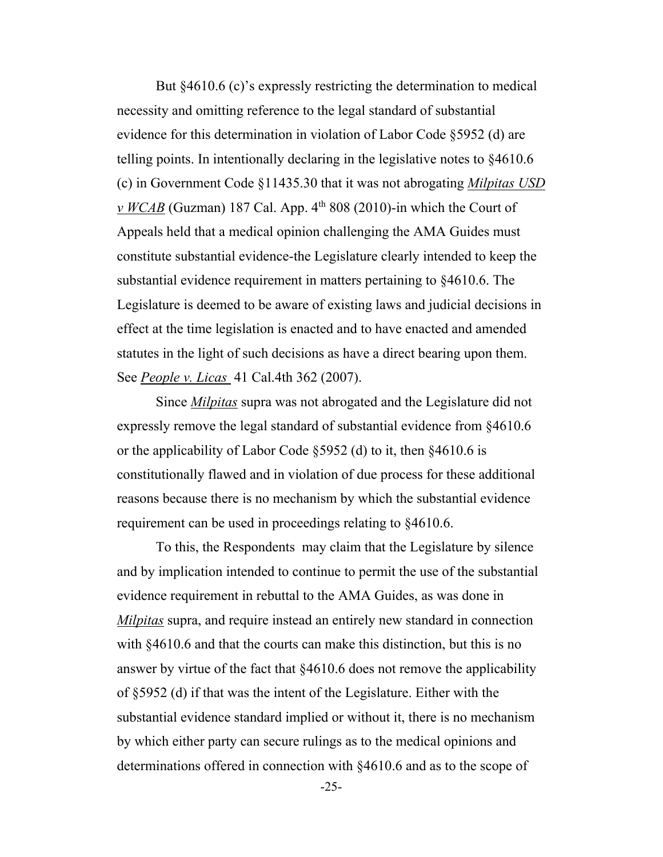But  $§4610.6$  (c)'s expressly restricting the determination to medical necessity and omitting reference to the legal standard of substantial evidence for this determination in violation of Labor Code §5952 (d) are telling points. In intentionally declaring in the legislative notes to §4610.6 (c) in Government Code §11435.30 that it was not abrogating *Milpitas USD*   $\nu$  *WCAB* (Guzman) 187 Cal. App. 4<sup>th</sup> 808 (2010)-in which the Court of Appeals held that a medical opinion challenging the AMA Guides must constitute substantial evidence-the Legislature clearly intended to keep the substantial evidence requirement in matters pertaining to §4610.6. The Legislature is deemed to be aware of existing laws and judicial decisions in effect at the time legislation is enacted and to have enacted and amended statutes in the light of such decisions as have a direct bearing upon them. See *People v. Licas* 41 Cal.4th 362 (2007).

 Since *Milpitas* supra was not abrogated and the Legislature did not expressly remove the legal standard of substantial evidence from §4610.6 or the applicability of Labor Code §5952 (d) to it, then §4610.6 is constitutionally flawed and in violation of due process for these additional reasons because there is no mechanism by which the substantial evidence requirement can be used in proceedings relating to §4610.6.

 To this, the Respondents may claim that the Legislature by silence and by implication intended to continue to permit the use of the substantial evidence requirement in rebuttal to the AMA Guides, as was done in *Milpitas* supra, and require instead an entirely new standard in connection with §4610.6 and that the courts can make this distinction, but this is no answer by virtue of the fact that §4610.6 does not remove the applicability of §5952 (d) if that was the intent of the Legislature. Either with the substantial evidence standard implied or without it, there is no mechanism by which either party can secure rulings as to the medical opinions and determinations offered in connection with §4610.6 and as to the scope of

-25-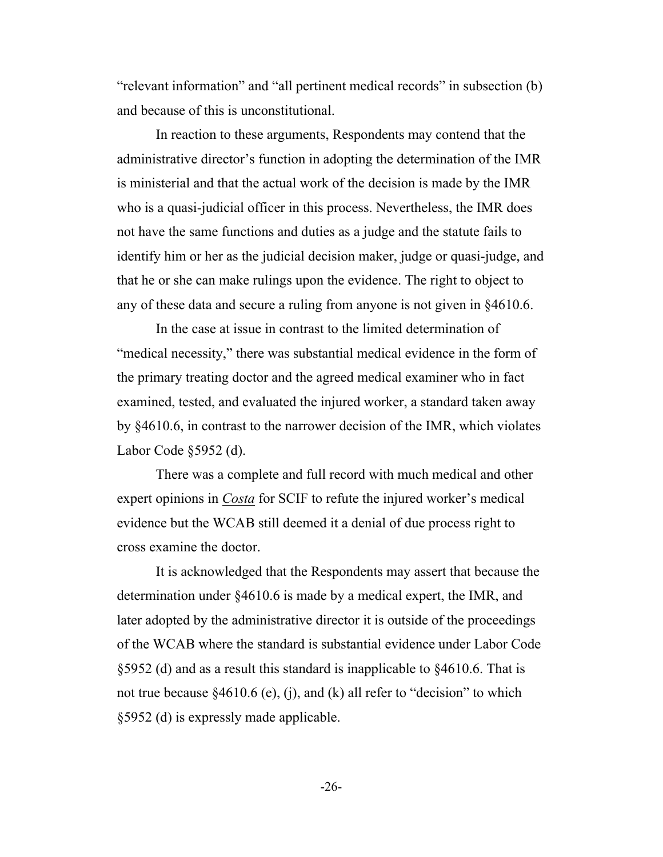"relevant information" and "all pertinent medical records" in subsection (b) and because of this is unconstitutional.

 In reaction to these arguments, Respondents may contend that the administrative director's function in adopting the determination of the IMR is ministerial and that the actual work of the decision is made by the IMR who is a quasi-judicial officer in this process. Nevertheless, the IMR does not have the same functions and duties as a judge and the statute fails to identify him or her as the judicial decision maker, judge or quasi-judge, and that he or she can make rulings upon the evidence. The right to object to any of these data and secure a ruling from anyone is not given in §4610.6.

 In the case at issue in contrast to the limited determination of "medical necessity," there was substantial medical evidence in the form of the primary treating doctor and the agreed medical examiner who in fact examined, tested, and evaluated the injured worker, a standard taken away by §4610.6, in contrast to the narrower decision of the IMR, which violates Labor Code §5952 (d).

 There was a complete and full record with much medical and other expert opinions in *Costa* for SCIF to refute the injured worker's medical evidence but the WCAB still deemed it a denial of due process right to cross examine the doctor.

 It is acknowledged that the Respondents may assert that because the determination under §4610.6 is made by a medical expert, the IMR, and later adopted by the administrative director it is outside of the proceedings of the WCAB where the standard is substantial evidence under Labor Code §5952 (d) and as a result this standard is inapplicable to §4610.6. That is not true because  $§4610.6$  (e), (j), and (k) all refer to "decision" to which §5952 (d) is expressly made applicable.

-26-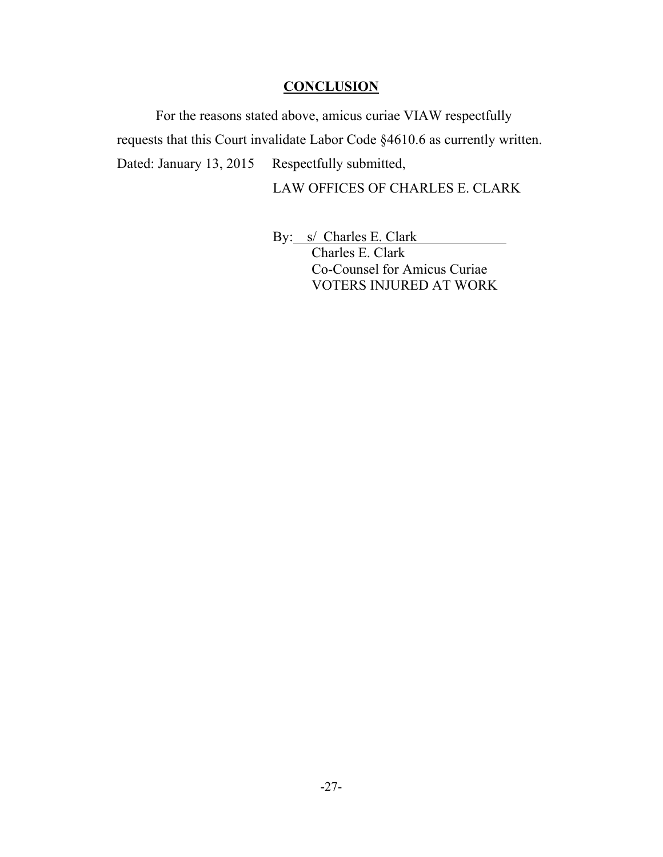#### **CONCLUSION**

For the reasons stated above, amicus curiae VIAW respectfully requests that this Court invalidate Labor Code §4610.6 as currently written. Dated: January 13, 2015 Respectfully submitted,

LAW OFFICES OF CHARLES E. CLARK

By: s/ Charles E. Clark Charles E. Clark Co-Counsel for Amicus Curiae VOTERS INJURED AT WORK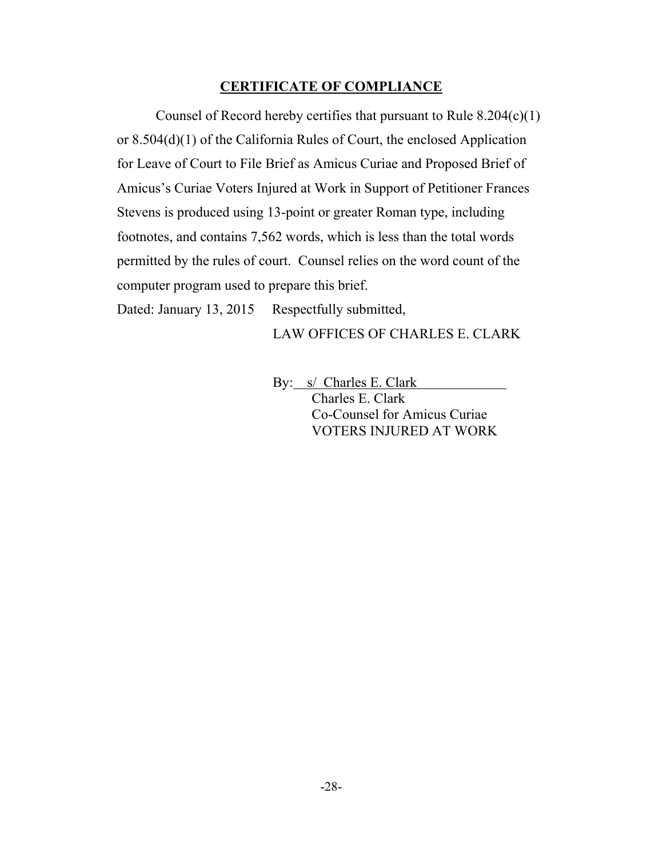#### **CERTIFICATE OF COMPLIANCE**

Counsel of Record hereby certifies that pursuant to Rule 8.204(c)(1) or 8.504(d)(1) of the California Rules of Court, the enclosed Application for Leave of Court to File Brief as Amicus Curiae and Proposed Brief of Amicus's Curiae Voters Injured at Work in Support of Petitioner Frances Stevens is produced using 13-point or greater Roman type, including footnotes, and contains 7,562 words, which is less than the total words permitted by the rules of court. Counsel relies on the word count of the computer program used to prepare this brief.

Dated: January 13, 2015 Respectfully submitted,

LAW OFFICES OF CHARLES E. CLARK

By: s/ Charles E. Clark

 Charles E. Clark Co-Counsel for Amicus Curiae VOTERS INJURED AT WORK